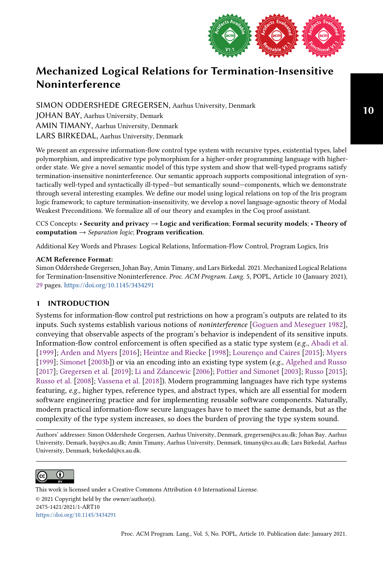

SIMON ODDERSHEDE GREGERSEN, Aarhus University, Denmark JOHAN BAY, Aarhus University, Demark AMIN TIMANY, Aarhus University, Denmark LARS BIRKEDAL, Aarhus University, Denmark

We present an expressive information-flow control type system with recursive types, existential types, label polymorphism, and impredicative type polymorphism for a higher-order programming language with higherorder state. We give a novel semantic model of this type system and show that well-typed programs satisfy termination-insensitive noninterference. Our semantic approach supports compositional integration of syntactically well-typed and syntactically ill-typed—but semantically sound—components, which we demonstrate through several interesting examples. We define our model using logical relations on top of the Iris program logic framework; to capture termination-insensitivity, we develop a novel language-agnostic theory of Modal Weakest Preconditions. We formalize all of our theory and examples in the Coq proof assistant.

CCS Concepts: • Security and privacy → Logic and verification; Formal security models; • Theory of computation  $\rightarrow$  Separation logic; Program verification.

Additional Key Words and Phrases: Logical Relations, Information-Flow Control, Program Logics, Iris

#### ACM Reference Format:

Simon Oddershede Gregersen, Johan Bay, Amin Timany, and Lars Birkedal. 2021. Mechanized Logical Relations for Termination-Insensitive Noninterference. Proc. ACM Program. Lang. 5, POPL, Article 10 (January 2021), [29](#page-28-0) pages. <https://doi.org/10.1145/3434291>

# 1 INTRODUCTION

Systems for information-flow control put restrictions on how a program's outputs are related to its inputs. Such systems establish various notions of noninterference [\[Goguen and Meseguer 1982\]](#page-27-0), conveying that observable aspects of the program's behavior is independent of its sensitive inputs. Information-flow control enforcement is often specified as a static type system ( $e.g.,$  [Abadi et al.](#page-26-0) [\[1999\]](#page-26-0); [Arden and Myers](#page-26-1) [\[2016\]](#page-26-1); [Heintze and Riecke](#page-27-1) [\[1998\]](#page-27-1); [Lourenço and Caires](#page-27-2) [\[2015\]](#page-27-2); [Myers](#page-27-3) [\[1999\]](#page-27-3); [Simonet](#page-28-1) [\[2003b\]](#page-28-1)) or via an encoding into an existing type system (e.g., [Algehed and Russo](#page-26-2) [\[2017\]](#page-26-2); [Gregersen et al.](#page-27-4) [\[2019\]](#page-27-4); [Li and Zdancewic](#page-27-5) [\[2006\]](#page-27-5); [Pottier and Simonet](#page-28-2) [\[2003\]](#page-28-2); [Russo](#page-28-3) [\[2015\]](#page-28-3); [Russo et al.](#page-28-4) [\[2008\]](#page-28-4); [Vassena et al.](#page-28-5) [\[2018\]](#page-28-5)). Modern programming languages have rich type systems featuring, e.g., higher types, reference types, and abstract types, which are all essential for modern software engineering practice and for implementing reusable software components. Naturally, modern practical information-flow secure languages have to meet the same demands, but as the complexity of the type system increases, so does the burden of proving the type system sound.

Authors' addresses: Simon Oddershede Gregersen, Aarhus University, Denmark, gregersen@cs.au.dk; Johan Bay, Aarhus University, Demark, bay@cs.au.dk; Amin Timany, Aarhus University, Denmark, timany@cs.au.dk; Lars Birkedal, Aarhus University, Denmark, birkedal@cs.au.dk.



This work is licensed under a Creative Commons Attribution 4.0 International License. © 2021 Copyright held by the owner/author(s). 2475-1421/2021/1-ART10 <https://doi.org/10.1145/3434291>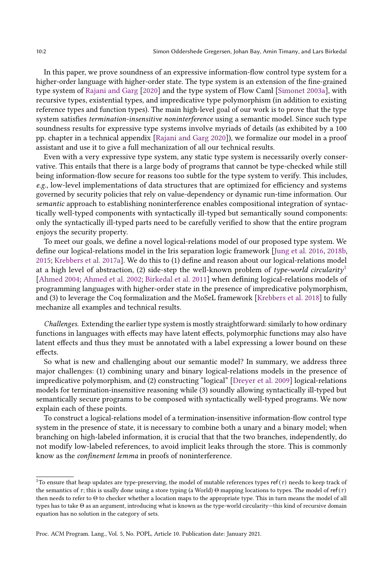In this paper, we prove soundness of an expressive information-flow control type system for a higher-order language with higher-order state. The type system is an extension of the fine-grained type system of [Rajani and Garg](#page-28-6) [\[2020\]](#page-28-6) and the type system of Flow Caml [\[Simonet 2003a\]](#page-28-7), with recursive types, existential types, and impredicative type polymorphism (in addition to existing reference types and function types). The main high-level goal of our work is to prove that the type system satisfies termination-insensitive noninterference using a semantic model. Since such type soundness results for expressive type systems involve myriads of details (as exhibited by a 100 pp. chapter in a technical appendix [\[Rajani and Garg 2020\]](#page-28-6)), we formalize our model in a proof assistant and use it to give a full mechanization of all our technical results.

Even with a very expressive type system, any static type system is necessarily overly conservative. This entails that there is a large body of programs that cannot be type-checked while still being information-flow secure for reasons too subtle for the type system to verify. This includes, e.g., low-level implementations of data structures that are optimized for efficiency and systems governed by security policies that rely on value-dependency or dynamic run-time information. Our semantic approach to establishing noninterference enables compositional integration of syntactically well-typed components with syntactically ill-typed but semantically sound components: only the syntactically ill-typed parts need to be carefully verified to show that the entire program enjoys the security property.

To meet our goals, we define a novel logical-relations model of our proposed type system. We define our logical-relations model in the Iris separation logic framework [\[Jung et al.](#page-27-6) [2016,](#page-27-6) [2018b,](#page-27-7) [2015;](#page-27-8) [Krebbers et al. 2017a\]](#page-27-9). We do this to (1) define and reason about our logical-relations model at a high level of abstraction, (2) side-step the well-known problem of type-world circularity<sup>[1](#page-1-0)</sup> [\[Ahmed 2004;](#page-26-3) [Ahmed et al.](#page-26-4) [2002;](#page-26-4) [Birkedal et al.](#page-26-5) [2011\]](#page-26-5) when defining logical-relations models of programming languages with higher-order state in the presence of impredicative polymorphism, and (3) to leverage the Coq formalization and the MoSeL framework [\[Krebbers et al.](#page-27-10) [2018\]](#page-27-10) to fully mechanize all examples and technical results.

Challenges. Extending the earlier type system is mostly straightforward: similarly to how ordinary functions in languages with effects may have latent effects, polymorphic functions may also have latent effects and thus they must be annotated with a label expressing a lower bound on these effects.

So what is new and challenging about our semantic model? In summary, we address three major challenges: (1) combining unary and binary logical-relations models in the presence of impredicative polymorphism, and (2) constructing "logical" [\[Dreyer et al.](#page-27-11) [2009\]](#page-27-11) logical-relations models for termination-insensitive reasoning while (3) soundly allowing syntactically ill-typed but semantically secure programs to be composed with syntactically well-typed programs. We now explain each of these points.

To construct a logical-relations model of a termination-insensitive information-flow control type system in the presence of state, it is necessary to combine both a unary and a binary model; when branching on high-labeled information, it is crucial that that the two branches, independently, do not modify low-labeled references, to avoid implicit leaks through the store. This is commonly know as the confinement lemma in proofs of noninterference.

<span id="page-1-0"></span><sup>&</sup>lt;sup>1</sup>To ensure that heap updates are type-preserving, the model of mutable references types ref( $\tau$ ) needs to keep track of the semantics of  $\tau$ ; this is usally done using a store typing (a World) Θ mapping locations to types. The model of ref( $\tau$ ) then needs to refer to Θ to checker whether a location maps to the appropriate type. This in turn means the model of all types has to take Θ as an argument, introducing what is known as the type-world circularity-this kind of recursive domain equation has no solution in the category of sets.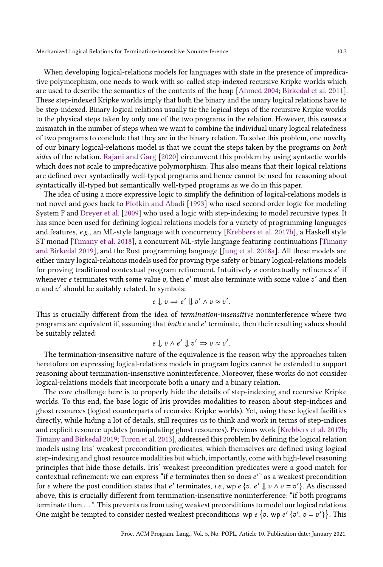When developing logical-relations models for languages with state in the presence of impredicative polymorphism, one needs to work with so-called step-indexed recursive Kripke worlds which are used to describe the semantics of the contents of the heap [\[Ahmed 2004;](#page-26-3) [Birkedal et al.](#page-26-5) [2011\]](#page-26-5). These step-indexed Kripke worlds imply that both the binary and the unary logical relations have to be step-indexed. Binary logical relations usually tie the logical steps of the recursive Kripke worlds to the physical steps taken by only one of the two programs in the relation. However, this causes a mismatch in the number of steps when we want to combine the individual unary logical relatedness of two programs to conclude that they are in the binary relation. To solve this problem, one novelty of our binary logical-relations model is that we count the steps taken by the programs on both sides of the relation. [Rajani and Garg](#page-28-6) [\[2020\]](#page-28-6) circumvent this problem by using syntactic worlds which does not scale to impredicative polymorphism. This also means that their logical relations are defined over syntactically well-typed programs and hence cannot be used for reasoning about syntactically ill-typed but semantically well-typed programs as we do in this paper.

The idea of using a more expressive logic to simplify the definition of logical-relations models is not novel and goes back to [Plotkin and Abadi](#page-27-12) [\[1993\]](#page-27-12) who used second order logic for modeling System F and [Dreyer et al.](#page-27-11) [\[2009\]](#page-27-11) who used a logic with step-indexing to model recursive types. It has since been used for defining logical relations models for a variety of programming languages and features, e.g., an ML-style language with concurrency [\[Krebbers et al.](#page-27-13) [2017b\]](#page-27-13), a Haskell style ST monad [\[Timany et al.](#page-28-8) [2018\]](#page-28-8), a concurrent ML-style language featuring continuations [\[Timany](#page-28-9) [and Birkedal 2019\]](#page-28-9), and the Rust programming language [\[Jung et al.](#page-27-14) [2018a\]](#page-27-14). All these models are either unary logical-relations models used for proving type safety or binary logical-relations models for proving traditional contextual program refinement. Intuitively  $e$  contextually refinenes  $e'$  if whenever e terminates with some value  $v$ , then  $e'$  must also terminate with some value  $v'$  and then v and v' should be suitably related. In symbols:

$$
e \Downarrow v \Longrightarrow e' \Downarrow v' \land v \approx v'.
$$

This is crucially different from the idea of termination-insensitive noninterference where two programs are equivalent if, assuming that  $\mathit{both}\ \mathit{e}$  and  $\mathit{e}'$  terminate, then their resulting values should be suitably related:

$$
e \Downarrow v \wedge e' \Downarrow v' \Rightarrow v \approx v'.
$$

The termination-insensitive nature of the equivalence is the reason why the approaches taken heretofore on expressing logical-relations models in program logics cannot be extended to support reasoning about termination-insensitive noninterference. Moreover, these works do not consider logical-relations models that incorporate both a unary and a binary relation.

The core challenge here is to properly hide the details of step-indexing and recursive Kripke worlds. To this end, the base logic of Iris provides modalities to reason about step-indices and ghost resources (logical counterparts of recursive Kripke worlds). Yet, using these logical facilities directly, while hiding a lot of details, still requires us to think and work in terms of step-indices and explicit resource updates (manipulating ghost resources). Previous work [\[Krebbers et al.](#page-27-13) [2017b;](#page-27-13) [Timany and Birkedal 2019;](#page-28-9) [Turon et al.](#page-28-10) [2013\]](#page-28-10), addressed this problem by defining the logical relation models using Iris' weakest precondition predicates, which themselves are defined using logical step-indexing and ghost resource modalities but which, importantly, come with high-level reasoning principles that hide those details. Iris' weakest precondition predicates were a good match for contextual refinement: we can express "if  $e$  terminates then so does  $e^{\prime}$ " as a weakest precondition for e where the post condition states that e' terminates, *i.e.*, wp e {v. e'  $\Downarrow v \wedge v = v'$ }. As discussed above, this is crucially different from termination-insensitive noninterference: "if both programs terminate then ...". This prevents us from using weakest preconditions to model our logical relations. One might be tempted to consider nested weakest preconditions: wp e {v. wp e' {v'.  $v = v'$ }}. This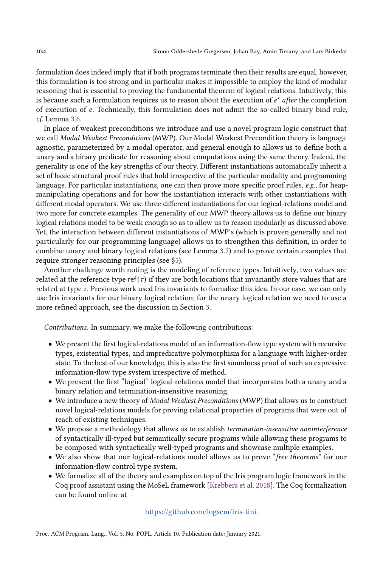formulation does indeed imply that if both programs terminate then their results are equal, however, this formulation is too strong and in particular makes it impossible to employ the kind of modular reasoning that is essential to proving the fundamental theorem of logical relations. Intuitively, this is because such a formulation requires us to reason about the execution of e' after the completion of execution of e. Technically, this formulation does not admit the so-called binary bind rule, cf. Lemma [3.6.](#page-18-0)

In place of weakest preconditions we introduce and use a novel program logic construct that we call Modal Weakest Preconditions (MWP). Our Modal Weakest Precondition theory is language agnostic, parameterized by a modal operator, and general enough to allows us to define both a unary and a binary predicate for reasoning about computations using the same theory. Indeed, the generality is one of the key strengths of our theory. Different instantiations automatically inherit a set of basic structural proof rules that hold irrespective of the particular modality and programming language. For particular instantiations, one can then prove more specific proof rules, e.g., for heapmanipulating operations and for how the instantiation interacts with other instantiations with different modal operators. We use three different instantiations for our logical-relations model and two more for concrete examples. The generality of our MWP theory allows us to define our binary logical relations model to be weak enough so as to allow us to reason modularly as discussed above. Yet, the interaction between different instantiations of MWP's (which is proven generally and not particularly for our programming language) allows us to strengthen this definition, in order to combine unary and binary logical relations (see Lemma [3.7\)](#page-18-1) and to prove certain examples that require stronger reasoning principles (see [ğ5\)](#page-20-0).

Another challenge worth noting is the modeling of reference types. Intuitively, two values are related at the reference type ref $(\tau)$  if they are both locations that invariantly store values that are related at type  $\tau$ . Previous work used Iris invariants to formalize this idea. In our case, we can only use Iris invariants for our binary logical relation; for the unary logical relation we need to use a more refined approach, see the discussion in Section [3.](#page-6-0)

Contributions. In summary, we make the following contributions:

- We present the first logical-relations model of an information-flow type system with recursive types, existential types, and impredicative polymorphism for a language with higher-order state. To the best of our knowledge, this is also the first soundness proof of such an expressive information-flow type system irrespective of method.
- We present the first "logical" logical-relations model that incorporates both a unary and a binary relation and termination-insensitive reasoning.
- We introduce a new theory of Modal Weakest Preconditions (MWP) that allows us to construct novel logical-relations models for proving relational properties of programs that were out of reach of existing techniques.
- We propose a methodology that allows us to establish termination-insensitive noninterference of syntactically ill-typed but semantically secure programs while allowing these programs to be composed with syntactically well-typed programs and showcase multiple examples.
- We also show that our logical-relations model allows us to prove "free theorems" for our information-flow control type system.
- We formalize all of the theory and examples on top of the Iris program logic framework in the Coq proof assistant using the MoSeL framework [\[Krebbers et al.](#page-27-10) [2018\]](#page-27-10). The Coq formalization can be found online at

[https://github.com/logsem/iris-tini.](https://github.com/logsem/iris-tini)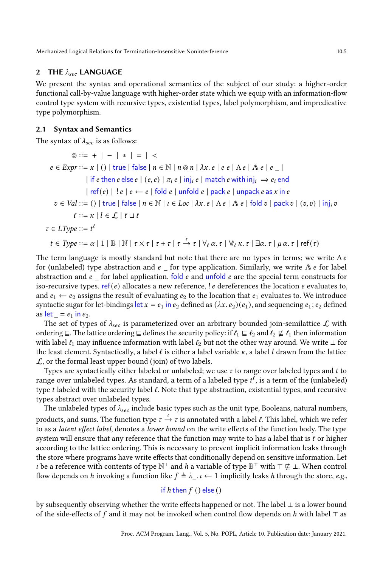# 2 THE  $\lambda_{\text{sec}}$  LANGUAGE

We present the syntax and operational semantics of the subject of our study: a higher-order functional call-by-value language with higher-order state which we equip with an information-flow control type system with recursive types, existential types, label polymorphism, and impredicative type polymorphism.

# 2.1 Syntax and Semantics

The syntax of  $\lambda_{sec}$  is as follows:

$$
\circ ::= + | - | * | = | <
$$
\n
$$
e \in \text{Expr} ::= x | () | \text{true} | \text{false} | n \in \mathbb{N} | n \circ n | \lambda x. e | e e | \Lambda e | \Lambda e | e |
$$
\n
$$
| \text{if } e \text{ then } e \text{ else } e | (e, e) | \pi_i e | \text{inj}_i e | \text{match } e \text{ with inj}_i \Rightarrow e_i \text{ end}
$$
\n
$$
| \text{ref}(e) | !e | e \leftarrow e | \text{fold } e | \text{unfold} e | \text{pack } e | \text{ unpack } e \text{ as } x \text{ in } e
$$
\n
$$
v \in \text{Val} ::= () | \text{true} | \text{false} | n \in \mathbb{N} | \iota \in \text{Loc} | \lambda x. e | \Lambda e | \Lambda e | \text{fold } v | \text{pack } v | (v, v) | \text{inj}_i v
$$
\n
$$
f ::= \kappa | l \in \mathcal{L} | \ell \sqcup \ell
$$
\n
$$
\tau \in \text{LType} ::= t^{\ell}
$$
\n
$$
t \in \text{Type} ::= \alpha | 1 | \mathbb{B} | \mathbb{N} | \tau \times \tau | \tau + \tau | \tau \xrightarrow{\ell} \tau | \forall_{\ell} \alpha. \tau | \forall_{\ell} \kappa. \tau | \exists \alpha. \tau | \mu \alpha. \tau | \text{ref}(\tau)
$$

The term language is mostly standard but note that there are no types in terms; we write  $\Lambda e$ for (unlabeled) type abstraction and  $e_{-}$  for type application. Similarly, we write  $\Lambda e$  for label abstraction and  $e$  for label application. fold  $e$  and unfold  $e$  are the special term constructs for iso-recursive types. ref( $e$ ) allocates a new reference, !  $e$  dereferences the location  $e$  evaluates to, and  $e_1 \leftarrow e_2$  assigns the result of evaluating  $e_2$  to the location that  $e_1$  evaluates to. We introduce syntactic sugar for let-bindings let  $x = e_1$  in  $e_2$  defined as  $(\lambda x. e_2)(e_1)$ , and sequencing  $e_1$ ;  $e_2$  defined as  $let$  =  $e_1$  in  $e_2$ .

The set of types of  $\lambda_{sec}$  is parameterized over an arbitrary bounded join-semilattice  $\mathcal{L}$  with ordering  $\subseteq$ . The lattice ordering  $\subseteq$  defines the security policy: if  $\ell_1 \subseteq \ell_2$  and  $\ell_2 \nsubseteq \ell_1$  then information with label  $\ell_1$  may influence information with label  $\ell_2$  but not the other way around. We write ⊥ for the least element. Syntactically, a label  $\ell$  is either a label variable  $\kappa$ , a label  $l$  drawn from the lattice  $\mathcal{L}$ , or the formal least upper bound (join) of two labels.

Types are syntactically either labeled or unlabeled; we use  $\tau$  to range over labeled types and  $t$  to range over unlabeled types. As standard, a term of a labeled type  $t^\ell$ , is a term of the (unlabeled) type  $t$  labeled with the security label  $\ell$ . Note that type abstraction, existential types, and recursive types abstract over unlabeled types.

The unlabeled types of  $\lambda_{sec}$  include basic types such as the unit type, Booleans, natural numbers, products, and sums. The function type  $\tau \stackrel{\ell}{\to} \tau$  is annotated with a label  $\ell.$  This label, which we refer to as a latent effect label, denotes a lower bound on the write effects of the function body. The type system will ensure that any reference that the function may write to has a label that is  $\ell$  or higher according to the lattice ordering. This is necessary to prevent implicit information leaks through the store where programs have write effects that conditionally depend on sensitive information. Let *i* be a reference with contents of type  $\mathbb{N}^{\perp}$  and *h* a variable of type  $\mathbb{B}^{\top}$  with  $\top \nsubseteq \bot$ . When control flow depends on h invoking a function like  $f \triangleq \lambda_{\perp} \iota \leftarrow 1$  implicitly leaks h through the store, e.g.,

# if  $h$  then  $f()$  else  $()$

by subsequently observing whether the write effects happened or not. The label ⊥ is a lower bound of the side-effects of f and it may not be invoked when control flow depends on  $h$  with label ⊤ as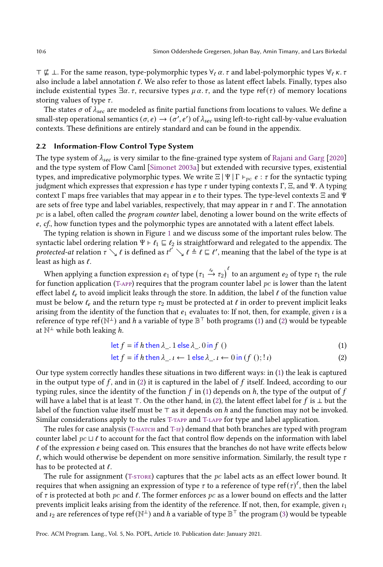$\top \not\sqsubseteq \bot$ . For the same reason, type-polymorphic types  $\forall_{\ell} \alpha$ .  $\tau$  and label-polymorphic types  $\forall_{\ell} \kappa$ .  $\tau$ also include a label annotation  $\ell$ . We also refer to those as latent effect labels. Finally, types also include existential types  $\exists \alpha$ .  $\tau$ , recursive types  $\mu \alpha$ .  $\tau$ , and the type ref( $\tau$ ) of memory locations storing values of type  $\tau$ .

The states  $\sigma$  of  $\lambda_{sec}$  are modeled as finite partial functions from locations to values. We define a small-step operational semantics  $(\sigma, e) \to (\sigma', e')$  of  $\lambda_{sec}$  using left-to-right call-by-value evaluation contexts. These definitions are entirely standard and can be found in the appendix.

#### 2.2 Information-Flow Control Type System

The type system of  $\lambda_{sec}$  is very similar to the fine-grained type system of [Rajani and Garg](#page-28-6) [\[2020\]](#page-28-6) and the type system of Flow Caml [\[Simonet 2003a\]](#page-28-7) but extended with recursive types, existential types, and impredicative polymorphic types. We write  $\Xi | \Psi | \Gamma \vdash_{nc} e : \tau$  for the syntactic typing judgment which expresses that expression *e* has type *τ* under typing contexts Γ, Ξ, and Ψ. A typing context Γ maps free variables that may appear in *e* to their types. The type-level contexts  $\Xi$  and  $\Psi$ are sets of free type and label variables, respectively, that may appear in  $\tau$  and Γ. The annotation pc is a label, often called the *program counter* label, denoting a lower bound on the write effects of  $e$ ,  $cf$ , how function types and the polymorphic types are annotated with a latent effect labels.

The typing relation is shown in Figure [1](#page-7-0) and we discuss some of the important rules below. The syntactic label ordering relation  $\Psi \vdash \ell_1 \sqsubseteq \ell_2$  is straightforward and relegated to the appendix. The protected-at relation  $\tau \searrow \ell$  is defined as  $t^{l'} \searrow \ell \triangleq \ell \sqsubseteq \ell'$ , meaning that the label of the type is at least as high as  $\ell$ .

When applying a function expression  $e_1$  of type  $\big(\tau_1 \stackrel{\iota_e}{\to} \tau_2\big)^\ell$  to an argument  $e_2$  of type  $\tau_1$  the rule for function application (T-APP) requires that the program counter label  $pc$  is lower than the latent effect label  $\ell_e$  to avoid implicit leaks through the store. In addition, the label  $\ell$  of the function value must be below  $\ell_e$  and the return type  $\tau_2$  must be protected at  $\ell$  in order to prevent implicit leaks arising from the identity of the function that  $e_1$  evaluates to: If not, then, for example, given  $\iota$  is a reference of type ref $(\mathbb{N}^{\perp})$  and  $h$  a variable of type  $\mathbb{B}^{\top}$  both programs [\(1\)](#page-5-0) and [\(2\)](#page-5-1) would be typeable at  $\mathbb{N}^{\perp}$  while both leaking h.

<span id="page-5-0"></span>
$$
\det f = \text{if } h \text{ then } \lambda \quad 1 \text{ else } \lambda \quad 0 \text{ in } f \text{ } ()
$$
 (1)

<span id="page-5-1"></span>
$$
\det f = \text{if } h \text{ then } \lambda \_ \iota \leftarrow 1 \text{ else } \lambda \_ \iota \leftarrow 0 \text{ in } (f \text{ } ( ); ! \iota )
$$
 (2)

Our type system correctly handles these situations in two different ways: in [\(1\)](#page-5-0) the leak is captured in the output type of  $f$ , and in [\(2\)](#page-5-1) it is captured in the label of  $f$  itself. Indeed, according to our typing rules, since the identity of the function  $f$  in [\(1\)](#page-5-0) depends on  $h$ , the type of the output of  $f$ will have a label that is at least ⊤. On the other hand, in [\(2\)](#page-5-1), the latent effect label for  $f$  is  $\perp$  but the label of the function value itself must be ⊤ as it depends on ℎ and the function may not be invoked. Similar considerations apply to the rules [T-tapp](#page-7-2) and [T-lapp](#page-7-3) for type and label application.

The rules for case analysis (T-MATCH and T-IF) demand that both branches are typed with program counter label pc ⊔ ℓ to account for the fact that control flow depends on the information with label  $\ell$  of the expression  $\ell$  being cased on. This ensures that the branches do not have write effects below  $\ell$ , which would otherwise be dependent on more sensitive information. Similarly, the result type  $\tau$ has to be protected at  $\ell$ .

The rule for assignment (T-STORE) captures that the  $pc$  label acts as an effect lower bound. It requires that when assigning an expression of type  $\tau$  to a reference of type ref $(\tau)^{\ell}$ , then the label of  $\tau$  is protected at both pc and  $\ell$ . The former enforces pc as a lower bound on effects and the latter prevents implicit leaks arising from the identity of the reference. If not, then, for example, given  $\iota_1$ and  $\iota_2$  are references of type ref( $\mathbb{N}^\perp$ ) and  $h$  a variable of type  $\mathbb{B}^\top$  the program [\(3\)](#page-6-1) would be typeable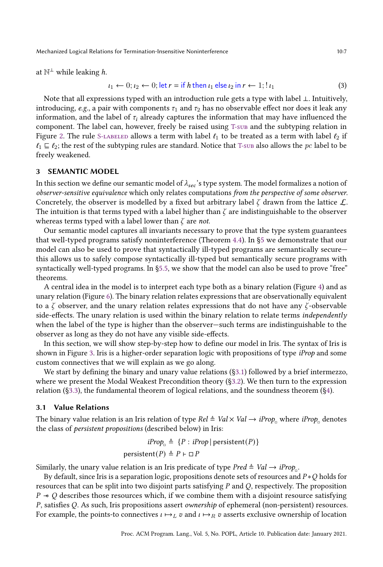at  $\mathbb{N}^{\perp}$  while leaking h.

<span id="page-6-1"></span>
$$
u_1 \leftarrow 0; u_2 \leftarrow 0; \text{ let } r = \text{ if } h \text{ then } u_1 \text{ else } u_2 \text{ in } r \leftarrow 1; u_1 \tag{3}
$$

Note that all expressions typed with an introduction rule gets a type with label ⊥. Intuitively, introducing, e.g., a pair with components  $\tau_1$  and  $\tau_2$  has no observable effect nor does it leak any information, and the label of  $\tau_i$  already captures the information that may have influenced the component. The label can, however, freely be raised using [T-sub](#page-7-7) and the subtyping relation in Figure [2.](#page-8-0) The rule S-LABELED allows a term with label  $\ell_1$  to be treated as a term with label  $\ell_2$  if  $\ell_1 \sqsubseteq \ell_2$ ; the rest of the subtyping rules are standard. Notice that [T-sub](#page-7-7) also allows the pc label to be freely weakened.

### <span id="page-6-0"></span>3 SEMANTIC MODEL

In this section we define our semantic model of  $\lambda_{\text{sec}}$ 's type system. The model formalizes a notion of observer-sensitive equivalence which only relates computations from the perspective of some observer. Concretely, the observer is modelled by a fixed but arbitrary label  $\zeta$  drawn from the lattice  $\mathcal{L}$ . The intuition is that terms typed with a label higher than  $\zeta$  are indistinguishable to the observer whereas terms typed with a label lower than  $\zeta$  are not.

Our semantic model captures all invariants necessary to prove that the type system guarantees that well-typed programs satisfy noninterference (Theorem [4.4\)](#page-20-1). In [ğ5](#page-20-0) we demonstrate that our model can also be used to prove that syntactically ill-typed programs are semantically secure $$ this allows us to safely compose syntactically ill-typed but semantically secure programs with syntactically well-typed programs. In  $\S5.5$ , we show that the model can also be used to prove "free" theorems.

A central idea in the model is to interpret each type both as a binary relation (Figure [4\)](#page-10-0) and as unary relation (Figure [6\)](#page-13-0). The binary relation relates expressions that are observationally equivalent to a  $\zeta$  observer, and the unary relation relates expressions that do not have any  $\zeta$ -observable side-effects. The unary relation is used within the binary relation to relate terms *independently* when the label of the type is higher than the observer-such terms are indistinguishable to the observer as long as they do not have any visible side-effects.

In this section, we will show step-by-step how to define our model in Iris. The syntax of Iris is shown in Figure [3.](#page-8-2) Iris is a higher-order separation logic with propositions of type *iProp* and some custom connectives that we will explain as we go along.

We start by defining the binary and unary value relations ([ğ3.1\)](#page-6-2) followed by a brief intermezzo, where we present the Modal Weakest Precondition theory ([ğ3.2\)](#page-14-0). We then turn to the expression relation ([ğ3.3\)](#page-19-0), the fundamental theorem of logical relations, and the soundness theorem ([ğ4\)](#page-19-1).

#### <span id="page-6-2"></span>3.1 Value Relations

The binary value relation is an Iris relation of type  $Rel \triangleq Val \times Val \rightarrow iProp_{\Box}$  where  $iProp_{\Box}$  denotes the class of persistent propositions (described below) in Iris:

$$
iProp_{\square} \triangleq \{P : iProp \mid persistent(P)\}
$$
  
persistent
$$
(P) \triangleq P \vdash \square P
$$

Similarly, the unary value relation is an Iris predicate of type  $Pred \triangleq Val \rightarrow iProp_{\Box}$ .

By default, since Iris is a separation logic, propositions denote sets of resources and  $P * Q$  holds for resources that can be split into two disjoint parts satisfying  $P$  and  $Q$ , respectively. The proposition  $P \rightarrow Q$  describes those resources which, if we combine them with a disjoint resource satisfying  $P$ , satisfies  $Q$ . As such, Iris propositions assert *ownership* of ephemeral (non-persistent) resources. For example, the points-to connectives  $\iota \mapsto_L v$  and  $\iota \mapsto_R v$  asserts exclusive ownership of location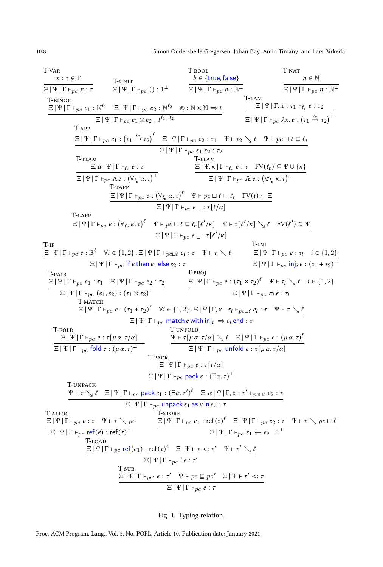<span id="page-7-5"></span><span id="page-7-3"></span><span id="page-7-2"></span><span id="page-7-1"></span><span id="page-7-0"></span>

<span id="page-7-7"></span><span id="page-7-6"></span><span id="page-7-4"></span>Fig. 1. Typing relation.

Proc. ACM Program. Lang., Vol. 5, No. POPL, Article 10. Publication date: January 2021.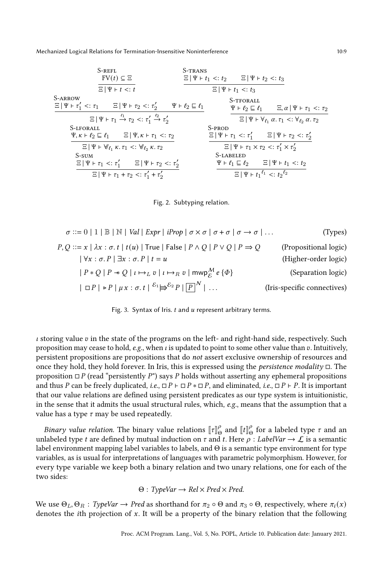<span id="page-8-0"></span>

| S-REFL                                                   | S-TRANS                                              |                                     |                                     |                                     |                                                         |
|----------------------------------------------------------|------------------------------------------------------|-------------------------------------|-------------------------------------|-------------------------------------|---------------------------------------------------------|
| $FV(t) \subseteq \Xi$                                    | $\Xi   \Psi + t_1 <: t_2$                            | $\Xi   \Psi + t_2 <: t_3$           |                                     |                                     |                                                         |
| S-ARROW                                                  | $\Xi   \Psi + t_1' <: \tau_1$                        | $\Xi   \Psi + t_2 <: \tau_2'$       | $\Psi + t_2 \subseteq t_1$          | $\Sigma   \Psi + t_1 <: t_3$        |                                                         |
| $\Xi   \Psi + t_1' <: \tau_1$                            | $\Xi   \Psi + t_2 <: \tau_1' \xrightarrow{t_2} t_2$  | $\Sigma   \Psi + t_2 \subseteq t_1$ | $\Sigma   \Psi + t_2 \subseteq t_1$ | $\Sigma   \Psi + t_2 \subseteq t_1$ | $\Sigma   \Psi + t_2' <: \tau_1' \xrightarrow{t_2} t_2$ |
| S-IFORALL                                                | $\Psi + t_2 \subseteq t_1$                           | $\Sigma   \Psi + t_2' <: \tau_2'$   |                                     |                                     |                                                         |
| S-IFORALL                                                | $\Psi + t_2 \subseteq t_1$                           | $\Sigma   \Psi + t_1' <: \tau_2'$   |                                     |                                     |                                                         |
| $\Sigma   \Psi + t_1' <: \tau_1' \xrightarrow{t_2} t_2$  | $\Sigma   \Psi + t_1' <: \tau_1' \xrightarrow{t_2'}$ |                                     |                                     |                                     |                                                         |
| $\Sigma   \Psi + t_1' <: \tau_1' \xrightarrow{t_2' \xi}$ | $\Sigma   \Psi + t_1' <: \tau_2'$                    |                                     |                                     |                                     |                                                         |
| $\Sigma   \Psi + t_1' &$                                 |                                                      |                                     |                                     |                                     |                                                         |

<span id="page-8-1"></span>

<span id="page-8-2"></span>
$$
\sigma ::= 0 | 1 | B | N | Val | Expr | iProp | \sigma \times \sigma | \sigma + \sigma | \sigma \rightarrow \sigma | ...
$$
 (Types)  
\n
$$
P, Q ::= x | \lambda x : \sigma. t | t(u) | True | False | P \land Q | P \lor Q | P \Rightarrow Q
$$
 (Propositional logic)  
\n
$$
| \forall x : \sigma. P | \exists x : \sigma. P | t = u
$$
 (Higher-order logic)  
\n
$$
| P * Q | P * Q | t \mapsto_L v | t \mapsto_R v | mwp_{\mathcal{E}}^M e {\phi}
$$
 (Separation logic)  
\n
$$
| \Box P | \triangleright P | \mu x : \sigma. t |^{\delta_1} \Longrightarrow^{\delta_2} P | P \wedge | ...
$$
 (Iris-specific connectives)

Fig. 3. Syntax of Iris.  $t$  and  $u$  represent arbitrary terms.

 $\iota$  storing value  $v$  in the state of the programs on the left- and right-hand side, respectively. Such proposition may cease to hold, e.g., when  $\iota$  is updated to point to some other value than  $\iota$ . Intuitively, persistent propositions are propositions that do not assert exclusive ownership of resources and once they hold, they hold forever. In Iris, this is expressed using the persistence modality □. The proposition  $\Box P$  (read "persistently P") says P holds without asserting any ephemeral propositions and thus P can be freely duplicated, i.e.,  $\Box P \vdash \Box P \ast \Box P$ , and eliminated, i.e.,  $\Box P \vdash P$ . It is important that our value relations are defined using persistent predicates as our type system is intuitionistic, in the sense that it admits the usual structural rules, which,  $e.g.,$  means that the assumption that a value has a type  $\tau$  may be used repeatedly.

*Binary value relation*. The binary value relations  $[\![\tau]\!]^{\rho}_{\Theta}$  and  $[\![t]\!]^{\rho}_{\Theta}$  for a labeled type  $\tau$  and an unlabeled type t are defined by mutual induction on  $\tau$  and t. Here  $\rho$  : LabelVar  $\rightarrow \mathcal{L}$  is a semantic label environment mapping label variables to labels, and Θ is a semantic type environment for type variables, as is usual for interpretations of languages with parametric polymorphism. However, for every type variable we keep both a binary relation and two unary relations, one for each of the two sides:

$$
\Theta: TypeVar \to Rel \times Pred \times Pred.
$$

We use  $\Theta_L, \Theta_R$ : TypeVar  $\to$  Pred as shorthand for  $\pi_2 \circ \Theta$  and  $\pi_3 \circ \Theta$ , respectively, where  $\pi_i(x)$ denotes the *i*th projection of  $x$ . It will be a property of the binary relation that the following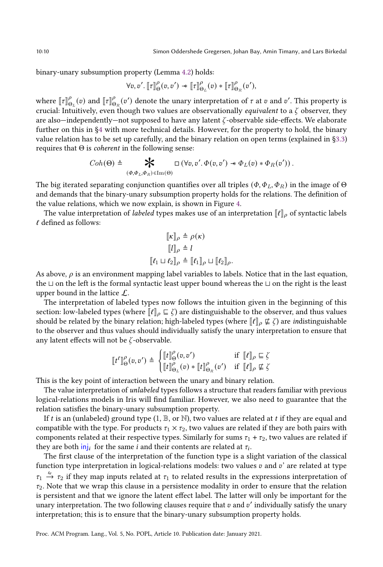binary-unary subsumption property (Lemma [4.2\)](#page-19-2) holds:

$$
\forall v, v'. \; [\![\tau]\!]^\rho_\Theta(v,v') \twoheadrightarrow [\![\tau]\!]^\rho_{\Theta_L}(v) * [\![\tau]\!]^\rho_{\Theta_R}(v'),
$$

where  $[\![\tau]\!]^\rho_{\Theta_L}(v)$  and  $[\![\tau]\!]^\rho_{\Theta_R}(v')$  denote the unary interpretation of  $\tau$  at  $v$  and  $v'$ . This property is crucial: Intuitively, even though two values are observationally *equivalent* to a  $\zeta$  observer, they are also—independently—not supposed to have any latent  $\zeta$ -observable side-effects. We elaborate further on this in [ğ4](#page-19-1) with more technical details. However, for the property to hold, the binary value relation has to be set up carefully, and the binary relation on open terms (explained in [ğ3.3\)](#page-19-0) requires that  $\Theta$  is *coherent* in the following sense:

$$
Coh(\Theta) \triangleq \bigotimes_{(\Phi, \Phi_L, \Phi_R) \in \text{Im}(\Theta)} \Box(\forall v, v'. \Phi(v, v') \ast \Phi_L(v) \ast \Phi_R(v')).
$$

The big iterated separating conjunction quantifies over all triples  $(\Phi, \Phi_L, \Phi_R)$  in the image of  $\Theta$ and demands that the binary-unary subsumption property holds for the relations. The definition of the value relations, which we now explain, is shown in Figure [4.](#page-10-0)

The value interpretation of labeled types makes use of an interpretation  $\llbracket \ell \rrbracket_\rho$  of syntactic labels  $\ell$  defined as follows:

$$
\begin{aligned}\n[\![\kappa]\!]_{\rho} &\triangleq \rho(\kappa) \\
[\![l]\!]_{\rho} &\triangleq l \\
[\![\ell_1 \sqcup \ell_2]\!]_{\rho} &\triangleq [\![\ell_1]\!]_{\rho} \sqcup [\![\ell_2]\!]_{\rho}.\n\end{aligned}
$$

As above,  $\rho$  is an environment mapping label variables to labels. Notice that in the last equation, the ⊔ on the left is the formal syntactic least upper bound whereas the ⊔ on the right is the least upper bound in the lattice L.

The interpretation of labeled types now follows the intuition given in the beginning of this section: low-labeled types (where  $\llbracket \ell \rrbracket_{\rho} \subseteq \zeta$ ) are distinguishable to the observer, and thus values should be related by the binary relation; high-labeled types (where  $\llbracket \ell \rrbracket_{\rho} \not\sqsubseteq \zeta$ ) are *in*distinguishable to the observer and thus values should individually satisfy the unary interpretation to ensure that any latent effects will not be  $\zeta$  -observable.

$$
[\![t^{\ell}]\!]^\rho_\Theta(v,v') \triangleq \begin{cases} [\![t]\!]^\rho_\Theta(v,v') & \text{if} \;\; [\![\ell]\!]_\rho \sqsubseteq \zeta \\ [\![t]\!]^\rho_{\Theta_L}(v) * [\![t]\!]^\rho_{\Theta_R}(v') & \text{if} \;\; [\![\ell]\!]_\rho \not\sqsubseteq \zeta \end{cases}
$$

This is the key point of interaction between the unary and binary relation.

The value interpretation of *unlabeled* types follows a structure that readers familiar with previous logical-relations models in Iris will find familiar. However, we also need to guarantee that the relation satisfies the binary-unary subsumption property.

If t is an (unlabeled) ground type (1,  $\mathbb{B}$ , or N), two values are related at t if they are equal and compatible with the type. For products  $\tau_1 \times \tau_2$ , two values are related if they are both pairs with components related at their respective types. Similarly for sums  $\tau_1 + \tau_2$ , two values are related if they are both  $\overline{\mathsf{inj}}_i$  for the same  $i$  and their contents are related at  $\tau_i$ .

The first clause of the interpretation of the function type is a slight variation of the classical function type interpretation in logical-relations models: two values  $v$  and  $v'$  are related at type  $\tau_1 \stackrel{\ell_e}{\rightarrow} \tau_2$  if they map inputs related at  $\tau_1$  to related results in the expressions interpretation of  $\tau_2$ . Note that we wrap this clause in a persistence modality in order to ensure that the relation is persistent and that we ignore the latent effect label. The latter will only be important for the unary interpretation. The two following clauses require that  $v$  and  $v'$  individually satisfy the unary interpretation; this is to ensure that the binary-unary subsumption property holds.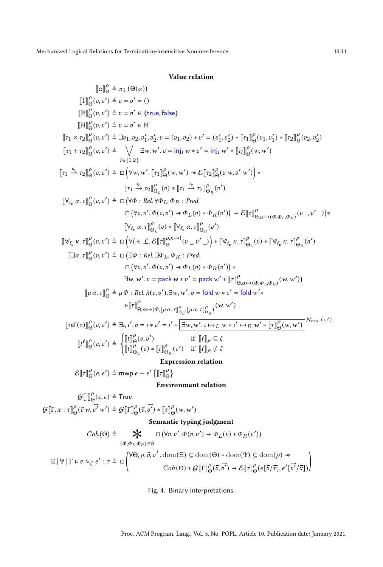# Value relation

<span id="page-10-0"></span>
$$
\begin{aligned}\n\llbracket a \rrbracket_{\Theta}^0 &= \pi_1 \left( \Theta(\alpha) \right) \\
\llbracket \mathbf{1} \rrbracket_{\Theta}^0(v, v') \triangleq v = v' = 0 \\
\llbracket \mathbf{B} \rrbracket_{\Theta}^0(v, v') \triangleq v = v' \in \{ \text{true, false} \} \\
\llbracket \mathbf{Y} \rrbracket_{\Theta}^1(v, v') \triangleq v = v' \in \mathbb{N} \\
\llbracket \tau_1 \times \tau_2 \rrbracket_{\Theta}^0(v, v') \triangleq \exists \tau_1, \tau_2, \tau_1', \tau_2', v = (\tau_1, \tau_2) * v' = (\tau_1', \tau_2') * \llbracket \tau_1 \rrbracket_{\Theta}^0(v_1, \tau_1') * \llbracket \tau_2 \rrbracket_{\Theta}^0(v, v_2') \\
\llbracket \tau_1 + \tau_2 \rrbracket_{\Theta}^0(v, v') \triangleq \bigvee_{i \in \{1, 2\}} \exists v, w', v = \text{inj}_{i} w * v' = \text{inj}_{i} w' * \llbracket \tau_1 \rrbracket_{\Theta}^0(v, w') \\
\llbracket \tau_1 \xrightarrow{\epsilon} \tau_2 \rrbracket_{\Theta}^2(v, v') \triangleq \Box \left( \forall w, w'. \llbracket \tau_1 \rrbracket_{\Theta}^2(w, w') * \mathcal{E} \llbracket \tau_2 \rrbracket_{\Theta_R}^2(v) \right) \\
\llbracket \tau_1 \xrightarrow{\epsilon} \tau_2 \rrbracket_{\Theta_L}^0(v, v') \triangleq \Box \left( \forall v, \text{Re} \forall v, \Phi_R : \text{Pred} \\
\llbracket \tau_1 \xrightarrow{\epsilon} \tau_2 \rrbracket_{\Theta_L}^0(v) * \llbracket \tau_1 \xrightarrow{\epsilon} \tau_2 \rrbracket_{\Theta_R}^0(v') \\
\llbracket \forall v, \alpha \cdot \tau \rrbracket_{\Theta_L}^0(v) * \llbracket \tau_2 \xrightarrow{\epsilon} \tau_2 \rrbracket_{\Theta_R}^0(v') \\
\llbracket \forall v, \alpha \cdot \tau \rrbracket_{\Theta_L}^0(v) * \llbracket \forall v, \alpha \cdot \tau \rrbracket_{\Theta_R}^0(v') \\
\llbracket \exists \alpha \cdot \tau \rrbracket_{\Theta}^
$$

Environment relation

$$
\mathcal{G}[\![\cdot]\!]_{\Theta}^{\rho}(\epsilon,\epsilon) \triangleq \text{True}
$$

 $\mathcal{G}[\![\Gamma, x : \tau]\!]_{\Theta}^{\rho}(\vec{v}|\mathbf{w},$  $\vec{v'}(w') \triangleq \mathcal{G}[\![\Gamma]\!]^\rho_{\Theta}(\vec{v},$  $\rightarrow$  $\vec{v'}$   $*$   $\llbracket \tau \rrbracket^{\rho}_{\Theta}(w, w')$ 

# Semantic typing judgment

$$
Coh(\Theta) \triangleq \bigotimes_{(\Phi, \Phi_L, \Phi_R) \in \Theta} \Box (\forall v, v'. \Phi(v, v') \ast \Phi_L(v) \ast \Phi_R(v'))
$$
  

$$
(\Phi, \Phi_L, \Phi_R) \in \Theta
$$
  

$$
\Xi | \Psi | \Gamma \models e \approx_{\zeta} e' : \tau \triangleq \Box \left( \begin{matrix} \forall \Theta, \rho, \vec{v}, \vec{v'} \cdot \text{dom}(\Xi) \subseteq \text{dom}(\Theta) \ast \text{dom}(\Psi) \subseteq \text{dom}(\rho) \ast \\ \text{Coh}(\Theta) \ast \mathcal{G} [\Gamma]_{\Theta}^{\rho}(\vec{v}, \vec{v'}) \ast \mathcal{E} [\tau]_{\Theta}^{\rho} (e[\vec{v}/\vec{x}], e' [\vec{v'}/\vec{x}]) \end{matrix} \right)
$$

Fig. 4. Binary interpretations.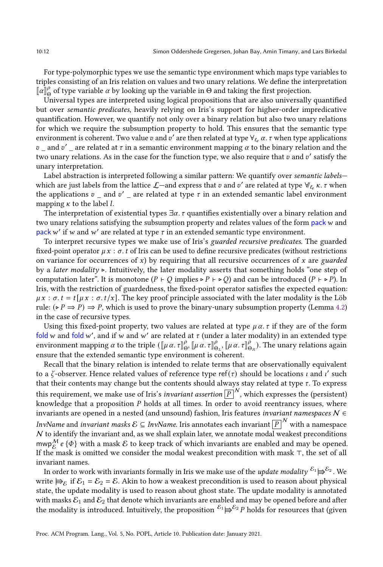For type-polymorphic types we use the semantic type environment which maps type variables to triples consisting of an Iris relation on values and two unary relations. We define the interpretation  $\llbracket \alpha \rrbracket_{\Theta}^{\rho}$  of type variable  $\alpha$  by looking up the variable in  $\Theta$  and taking the first projection.

Universal types are interpreted using logical propositions that are also universally quantified but over semantic predicates, heavily relying on Iris's support for higher-order impredicative quantification. However, we quantify not only over a binary relation but also two unary relations for which we require the subsumption property to hold. This ensures that the semantic type environment is coherent. Two value  $v$  and  $v'$  are then related at type  $\forall_{\ell_e} \alpha$ .  $\tau$  when type applications  $v_{\perp}$  and  $v'_{\perp}$  are related at  $\tau$  in a semantic environment mapping  $\alpha$  to the binary relation and the two unary relations. As in the case for the function type, we also require that  $v$  and  $v'$  satisfy the unary interpretation.

Label abstraction is interpreted following a similar pattern: We quantify over semantic labelswhich are just labels from the lattice  $\mathcal{L}-$  and express that  $v$  and  $v'$  are related at type  $\forall_{\ell_e}\kappa$ .  $\tau$  when the applications  $v_{\perp}$  and  $v'_{\perp}$  are related at type  $\tau$  in an extended semantic label environment mapping  $\kappa$  to the label *l*.

The interpretation of existential types  $\exists \alpha$ .  $\tau$  quantifies existentially over a binary relation and two unary relations satisfying the subsumption property and relates values of the form pack  $w$  and pack w' if w and w' are related at type  $\tau$  in an extended semantic type environment.

To interpret recursive types we make use of Iris's guarded recursive predicates. The guarded fixed-point operator  $\mu x : \sigma t$  of Iris can be used to define recursive predicates (without restrictions on variance for occurrences of  $x$ ) by requiring that all recursive occurrences of  $x$  are *guarded* by a *later modality* ⊳. Intuitively, the later modality asserts that something holds "one step of computation later". It is monotone ( $P \vdash Q$  implies ⊳  $P \vdash \triangleright Q$ ) and can be introduced ( $P \vdash \triangleright P$ ). In Iris, with the restriction of guardedness, the fixed-point operator satisfies the expected equation:  $\mu x : \sigma t = t[\mu x : \sigma t/x]$ . The key proof principle associated with the later modality is the Löb rule:  $(\triangleright P \Rightarrow P) \Rightarrow P$ , which is used to prove the binary-unary subsumption property (Lemma [4.2\)](#page-19-2) in the case of recursive types.

Using this fixed-point property, two values are related at type  $\mu \alpha$ . *t* if they are of the form fold w and fold w', and if w and w' are related at  $\tau$  (under a later modality) in an extended type environment mapping  $\alpha$  to the triple  $(\llbracket \mu \alpha. \tau \rrbracket^{\rho}_{\Theta}$ ,  $\llbracket \mu \alpha. \tau \rrbracket^{\rho}_{\Theta_L}$ ,  $\llbracket \mu \alpha. \tau \rrbracket^{\rho}_{\Theta_R}$ . The unary relations again ensure that the extended semantic type environment is coherent.

Recall that the binary relation is intended to relate terms that are observationally equivalent to a  $\zeta$ -observer. Hence related values of reference type ref( $\tau$ ) should be locations  $\iota$  and  $\iota'$  such that their contents may change but the contents should always stay related at type  $\tau$ . To express this requirement, we make use of Iris's *invariant assertion*  $\boxed{P}^{|N}$ , which expresses the (persistent) knowledge that a proposition  $P$  holds at all times. In order to avoid reentrancy issues, where invariants are opened in a nested (and unsound) fashion, Iris features invariant namespaces  $N \in$ InvName and *invariant masks*  $\mathcal{E} \subseteq \emph{InvName}.$  Iris annotates each invariant  $\boxed{P}^{|N|}$  with a namespace  $N$  to identify the invariant and, as we shall explain later, we annotate modal weakest preconditions mwp $_{\mathcal{E}}^{\mathcal{M}}$ e { $\Phi$ } with a mask  $\mathcal E$  to keep track of which invariants are enabled and may be opened. If the mask is omitted we consider the modal weakest precondition with mask ⊤, the set of all invariant names.

In order to work with invariants formally in Iris we make use of the *update modality*  $^{\mathcal{E}_1}$  $\Rightarrow$  $^{\mathcal{E}_2}$  *. We* write  $\Rightarrow_{\mathcal{E}}$  if  $\mathcal{E}_1 = \mathcal{E}_2 = \mathcal{E}$ . Akin to how a weakest precondition is used to reason about physical state, the update modality is used to reason about ghost state. The update modality is annotated with masks  $\mathcal{E}_1$  and  $\mathcal{E}_2$  that denote which invariants are enabled and may be opened before and after the modality is introduced. Intuitively, the proposition  $^{\mathcal{E}_1}$   $\not \models^{\mathcal{E}_2} P$  holds for resources that (given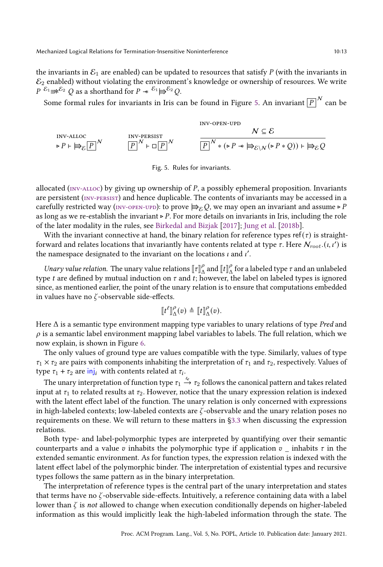the invariants in  $\mathcal{E}_1$  are enabled) can be updated to resources that satisfy P (with the invariants in  $\mathcal{E}_2$  enabled) without violating the environment's knowledge or ownership of resources. We write  $P^{E_1} \Rightarrow E^{E_2} Q$  as a shorthand for  $P \twoheadrightarrow E^{E_1} \Rightarrow E^2 Q$ .

<span id="page-12-0"></span>Some formal rules for invariants in Iris can be found in Figure [5.](#page-12-0) An invariant  $\overline{\left[ P \right]}^{\mathcal{N}}$  can be

<span id="page-12-1"></span>
$$
\text{inv-alloc} \quad N \subseteq \mathcal{E}
$$
\n
$$
\triangleright P \vdash \bigoplus_{\mathcal{E}} \boxed{P}^N \qquad \qquad \boxed{P}^N \vdash \Box \boxed{P}^N \qquad \qquad \boxed{P^N * (\triangleright P * \bigoplus_{\mathcal{E} \setminus N} (\triangleright P * \mathcal{Q})) \vdash \bigoplus_{\mathcal{E}} \mathcal{Q}}
$$

<span id="page-12-3"></span><span id="page-12-2"></span>Fig. 5. Rules for invariants.

allocated ( $_{\text{INV-ALOC}}$ ) by giving up ownership of P, a possibly ephemeral proposition. Invariants are persistent (INV-PERSIST) and hence duplicable. The contents of invariants may be accessed in a carefully restricted way ( $\text{inv-oren-upp}$ ): to prove  $\Rightarrow_{\mathcal{E}} Q$ , we may open an invariant and assume ⊳ P as long as we re-establish the invariant ⊳  $P$ . For more details on invariants in Iris, including the role of the later modality in the rules, see [Birkedal and Bizjak](#page-26-6) [\[2017\]](#page-26-6); [Jung et al.](#page-27-7) [\[2018b\]](#page-27-7).

With the invariant connective at hand, the binary relation for reference types ref( $\tau$ ) is straightforward and relates locations that invariantly have contents related at type  $\tau$ . Here  $\mathcal{N}_{root}$  ( $\iota, \iota' )$  is the namespace designated to the invariant on the locations  $\iota$  and  $\iota'$ .

Unary value relation. The unary value relations  $[\![\tau]\!]^\rho_\Delta$  and  $[\![t]\!]^\rho_\Delta$  for a labeled type  $\tau$  and an unlabeled type *t* are defined by mutual induction on  $\tau$  and  $t$ ; however, the label on labeled types is ignored since, as mentioned earlier, the point of the unary relation is to ensure that computations embedded in values have no  $\zeta$ -observable side-effects.

$$
\llbracket t^{\ell} \rrbracket^{\rho}_{\Delta}(v) \triangleq \llbracket t \rrbracket^{\rho}_{\Delta}(v).
$$

Here  $\Delta$  is a semantic type environment mapping type variables to unary relations of type Pred and  $\rho$  is a semantic label environment mapping label variables to labels. The full relation, which we now explain, is shown in Figure [6.](#page-13-0)

The only values of ground type are values compatible with the type. Similarly, values of type  $\tau_1 \times \tau_2$  are pairs with components inhabiting the interpretation of  $\tau_1$  and  $\tau_2$ , respectively. Values of type  $\tau_1 + \tau_2$  are  $\overline{\mathsf{inj}}_i$  with contents related at  $\tau_i$ .

The unary interpretation of function type  $\tau_1 \stackrel{\iota_e}{\to} \tau_2$  follows the canonical pattern and takes related input at  $\tau_1$  to related results at  $\tau_2$ . However, notice that the unary expression relation is indexed with the latent effect label of the function. The unary relation is only concerned with expressions in high-labeled contexts; low-labeled contexts are  $\zeta$ -observable and the unary relation poses no requirements on these. We will return to these matters in [ğ3.3](#page-19-0) when discussing the expression relations.

Both type- and label-polymorphic types are interpreted by quantifying over their semantic counterparts and a value v inhabits the polymorphic type if application  $v_{\perp}$  inhabits  $\tau$  in the extended semantic environment. As for function types, the expression relation is indexed with the latent effect label of the polymorphic binder. The interpretation of existential types and recursive types follows the same pattern as in the binary interpretation.

The interpretation of reference types is the central part of the unary interpretation and states that terms have no  $\zeta$ -observable side-effects. Intuitively, a reference containing data with a label lower than  $\zeta$  is not allowed to change when execution conditionally depends on higher-labeled information as this would implicitly leak the high-labeled information through the state. The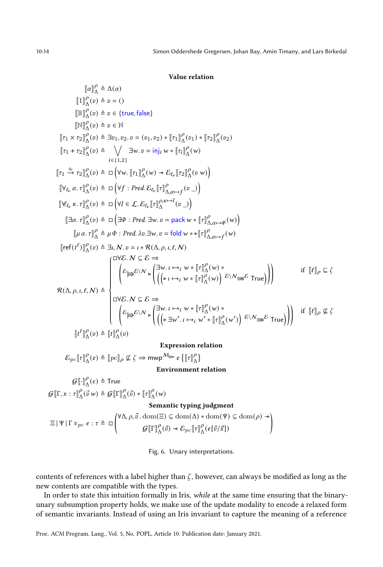<span id="page-13-0"></span>
$$
[\![a]\!]_A^p \triangleq \Delta(\alpha)
$$
\n
$$
[\![1]\!]_A^p(\sigma) \triangleq v = ()
$$
\n
$$
[\![\mathbb{B}]\!]_A^p(\sigma) \triangleq v \in \{\text{true}, \text{false}\}
$$
\n
$$
[\![\mathbb{Y}]\!]_A^p(\sigma) \triangleq \mathbb{Z} \in \mathbb{N}
$$
\n
$$
[\![\tau_1 \times \tau_2]\!]_A^p(\sigma) \triangleq \exists v_1, v_2, v = (v_1, v_2) * [\![\tau_1]\!]_A^p(v_1) * [\![\tau_2]\!]_A^p(v_2)
$$
\n
$$
[\![\tau_1 + \tau_2]\!]_A^p(\sigma) \triangleq \bigvee_{i \in \{1, 2\}} \exists w, v = \text{inj}_i w * [\![\tau_i]\!]_A^p(w)
$$
\n
$$
[\![\tau_1 + \tau_2]\!]_A^p(\sigma) \triangleq \Box \left(\forall w, [\![\tau_1]\!]_A^p(w) * \mathcal{E}_{\ell_v}[\![\tau_2]\!]_A^p(v w)\right)
$$
\n
$$
[\![\forall \ell_e \alpha, \tau]\!]_A^p(\sigma) \triangleq \Box \left(\forall f : \text{Pred.} \mathcal{E}_{\ell_v}[\![\tau]\!]_{A, \alpha \mapsto f}^p(v \Box)
$$
\n
$$
[\![\exists \alpha, \tau]\!]_A^p(\sigma) \triangleq \Box \left(\forall l \in \mathcal{L}. \mathcal{E}_{\ell_v}[\![\tau]\!]_A^p \wedge \neg l \sigma) \right)
$$
\n
$$
[\![\mu \alpha, \tau]\!]_A^p(\sigma) \triangleq \Box \left(\exists \Phi : \text{Pred.} \exists w, v = \text{pack } w * [\![\tau]\!]_{A, \alpha \mapsto f}^p(w)
$$
\n
$$
[\![\tau e(t^{\ell})]\!]_A^p(\sigma) \triangleq \exists l, N, v = l * \Re(\Delta, \rho, l, \ell, N)
$$
\n
$$
[\![\tau e(t^{\ell})]\!]_A^p(\sigma) \triangleq \exists l, N, v = l * \Re(\Delta, \rho, l, \ell, N)
$$
\n
$$
[\![\tau e(t^{\ell})]\!]_A^p(\sigma) \triangleq \exists l,
$$

 $\mathcal{E}_{pc}\llbracket \tau \rrbracket^\rho_\Delta(e) \triangleq \llbracket pc \rrbracket_\rho \not\sqsubseteq \zeta \Rightarrow \mathsf{mwp}^{\mathcal{M}_{\not\Rightarrow\succ}} e\left\{\llbracket \tau \rrbracket^\rho_\Delta\right\}$ 

Environment relation

 $\mathcal{G}\llbracket \cdot \rrbracket_{\Delta}^{\rho}(\epsilon) \triangleq \mathsf{True}$  $\mathcal{G}[\![\Gamma, x : \tau]\!]^\rho_\Delta(\vec{v} | w) \triangleq \mathcal{G}[\![\Gamma]\!]^\rho_\Delta(\vec{v}) * [\![\tau]\!]^\rho_\Delta(w)$ 

#### Semantic typing judgment

 $\Xi | \Psi | \Gamma \models_{pc} e : \tau \triangleq \Box \begin{pmatrix} \forall \Delta, \rho, \vec{v} \cdot \text{dom}(\Xi) \subseteq \text{dom}(\Delta) * \text{dom}(\Psi) \subseteq \text{dom}(\rho) \rightarrow \\ \Omega \text{Tr} \mathbb{P}(\Delta) & \Omega \in \mathbb{E} \mathbb{P}(\Delta) \end{pmatrix}$  $dom(\Xi) \subseteq dom(\Delta) * dom(\Psi) \subseteq dom(\rho) * \bigg\{ \mathbb{F} \right\}^{\rho}_{\Lambda}(\bar{e}[\bar{v}^{\dagger}_{\Lambda}(\bar{e}[\bar{v}^{\dagger}_{\Lambda}])$ 

Fig. 6. Unary interpretations.

contents of references with a label higher than  $\zeta$ , however, can always be modified as long as the new contents are compatible with the types.

In order to state this intuition formally in Iris, while at the same time ensuring that the binaryunary subsumption property holds, we make use of the update modality to encode a relaxed form of semantic invariants. Instead of using an Iris invariant to capture the meaning of a reference

Proc. ACM Program. Lang., Vol. 5, No. POPL, Article 10. Publication date: January 2021.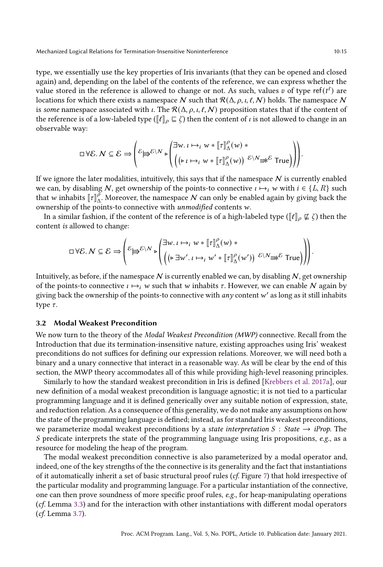type, we essentially use the key properties of Iris invariants (that they can be opened and closed again) and, depending on the label of the contents of the reference, we can express whether the value stored in the reference is allowed to change or not. As such, values  $v$  of type ref( $t^{\ell}$ ) are locations for which there exists a namespace N such that  $R(\Delta, \rho, \iota, \ell, N)$  holds. The namespace N is some namespace associated with  $\iota$ . The  $\mathcal{R}(\Delta, \rho, \iota, \ell, \mathcal{N})$  proposition states that if the content of the reference is of a low-labeled type ( $\llbracket \ell \rrbracket_{\rho} \sqsubseteq \zeta$ ) then the content of  $\iota$  is not allowed to change in an observable way:

$$
\Box \forall \mathcal{E}. N \subseteq \mathcal{E} \Rightarrow \left( \mathcal{E} \biguplus \mathcal{E} \setminus N \biguplus \left( \exists w. \iota \mapsto_i w * [\![\tau]\!]^p_{\Delta}(w) * \left( \big(\mathbf{L} \setminus \mathbf{L} \mapsto_i w * [\![\tau]\!]^p_{\Delta}(w) \right) \mathcal{E} \setminus N \right) \right) \biguplus \mathcal{E} \text{ True} \right)
$$

If we ignore the later modalities, intuitively, this says that if the namespace  $N$  is currently enabled we can, by disabling N, get ownership of the points-to connective  $\iota \mapsto_i w$  with  $i \in \{L, R\}$  such that w inhabits  $[\![\tau]\!]_A^{\gamma}$ . Moreover, the namespace N can only be enabled again by giving back the ownership of the points-to connective with unmodified contents  $w$ .

In a similar fashion, if the content of the reference is of a high-labeled type ( $\llbracket \ell \rrbracket_o \not\sqsubseteq \zeta$ ) then the content is allowed to change:

$$
\Box \forall \mathcal{E}.\ N \subseteq \mathcal{E} \Rightarrow \left( \varepsilon \biguplus \varepsilon \setminus N \bigg\downarrow \begin{pmatrix} \exists w.\iota \mapsto_i w * [\![\tau]\!]^\rho_\Delta(w) * \\ \left( \left( \varepsilon \exists w'.\iota \mapsto_i w' * [\![\tau]\!]^\rho_\Delta(w') \right) \varepsilon \setminus N \Rightarrow \varepsilon \text{ True} \right) \end{pmatrix} \right)
$$

Intuitively, as before, if the namespace N is currently enabled we can, by disabling  $N$ , get ownership of the points-to connective  $\iota \mapsto_i w$  such that w inhabits  $\tau$ . However, we can enable N again by giving back the ownership of the points-to connective with  $any$  content w' as long as it still inhabits type  $\tau$ .

### <span id="page-14-0"></span>3.2 Modal Weakest Precondition

We now turn to the theory of the Modal Weakest Precondition (MWP) connective. Recall from the Introduction that due its termination-insensitive nature, existing approaches using Iris' weakest preconditions do not suffices for defining our expression relations. Moreover, we will need both a binary and a unary connective that interact in a reasonable way. As will be clear by the end of this section, the MWP theory accommodates all of this while providing high-level reasoning principles.

Similarly to how the standard weakest precondition in Iris is defined [\[Krebbers et al.](#page-27-9) [2017a\]](#page-27-9), our new definition of a modal weakest precondition is language agnostic; it is not tied to a particular programming language and it is defined generically over any suitable notion of expression, state, and reduction relation. As a consequence of this generality, we do not make any assumptions on how the state of the programming language is defined; instead, as for standard Iris weakest preconditions, we parameterize modal weakest preconditions by a state interpretation  $S : State \rightarrow iProp$ . The S predicate interprets the state of the programming language using Iris propositions,  $e.g.,$  as a resource for modeling the heap of the program.

The modal weakest precondition connective is also parameterized by a modal operator and, indeed, one of the key strengths of the the connective is its generality and the fact that instantiations of it automatically inherit a set of basic structural proof rules (cf. Figure [7\)](#page-15-0) that hold irrespective of the particular modality and programming language. For a particular instantiation of the connective, one can then prove soundness of more specific proof rules, e.g., for heap-manipulating operations (cf. Lemma [3.3\)](#page-16-0) and for the interaction with other instantiations with different modal operators (cf. Lemma [3.7\)](#page-18-1).

.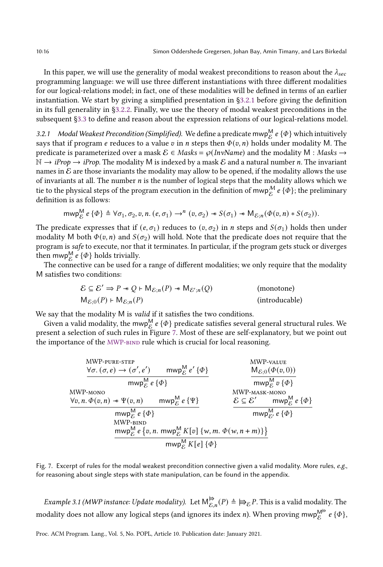In this paper, we will use the generality of modal weakest preconditions to reason about the  $\lambda_{sec}$ programming language: we will use three different instantiations with three different modalities for our logical-relations model; in fact, one of these modalities will be defined in terms of an earlier instantiation. We start by giving a simplified presentation in [ğ3.2.1](#page-15-1) before giving the definition in its full generality in [ğ3.2.2.](#page-16-1) Finally, we use the theory of modal weakest preconditions in the subsequent [ğ3.3](#page-19-0) to define and reason about the expression relations of our logical-relations model.

<span id="page-15-1"></span>3.2.1 Modal Weakest Precondition (Simplified). We define a predicate mwp $^{\mathsf{M}}_{\mathcal{E}}$  e { $\Phi$ } which intuitively says that if program e reduces to a value  $v$  in n steps then  $\Phi(v, n)$  holds under modality M. The predicate is parameterized over a mask  $\mathcal{E} \in Masks = \wp(InvName)$  and the modality M : Masks  $\rightarrow$  $\mathbb{N} \to iProp \to iProp$ . The modality M is indexed by a mask E and a natural number *n*. The invariant names in  $\mathcal E$  are those invariants the modality may allow to be opened, if the modality allows the use of invariants at all. The number  $n$  is the number of logical steps that the modality allows which we tie to the physical steps of the program execution in the definition of mwp $_{\mathcal{E}}^{\mathcal{M}}$  e { $\Phi$ }; the preliminary definition is as follows:

$$
\text{mwp}_{\mathcal{E}}^{\mathsf{M}} \, e \, \{ \Phi \} \triangleq \forall \sigma_1, \sigma_2, v, n. \, (e, \sigma_1) \rightarrow^n (v, \sigma_2) \, * \, S(\sigma_1) \, * \, \mathsf{M}_{\mathcal{E};n}(\Phi(v, n) \, * \, S(\sigma_2)).
$$

The predicate expresses that if  $(e, \sigma_1)$  reduces to  $(v, \sigma_2)$  in *n* steps and  $S(\sigma_1)$  holds then under modality M both  $\Phi(v, n)$  and  $S(\sigma_2)$  will hold. Note that the predicate does not require that the program is safe to execute, nor that it terminates. In particular, if the program gets stuck or diverges then mwp $_{\mathcal{E}}^{\mathsf{M}}$   $e$  { $\Phi$ } holds trivially.

The connective can be used for a range of different modalities; we only require that the modality M satisfies two conditions:

$$
\mathcal{E} \subseteq \mathcal{E}' \Rightarrow P \twoheadrightarrow Q \vdash \mathsf{M}_{\mathcal{E};n}(P) \twoheadrightarrow \mathsf{M}_{\mathcal{E}';n}(Q)
$$
 (monotone)  

$$
\mathsf{M}_{\mathcal{E};0}(P) \vdash \mathsf{M}_{\mathcal{E};n}(P)
$$
 (introducable)

We say that the modality M is *valid* if it satisfies the two conditions.

<span id="page-15-0"></span>Given a valid modality, the mwp $_{\mathcal{E}}^{\mathsf{M}}$  e  $\{\Phi\}$  predicate satisfies several general structural rules. We present a selection of such rules in Figure [7.](#page-15-0) Most of these are self-explanatory, but we point out the importance of the MWP-BIND rule which is crucial for local reasoning.

<span id="page-15-2"></span>MWP-PURE-STEP  
\n
$$
\frac{\forall \sigma. (\sigma, e) \rightarrow (\sigma', e') \quad \text{mwp}_{\mathcal{E}}^{\mathcal{M}} e' \{\Phi\}}{\text{mwp}_{\mathcal{E}}^{\mathcal{M}} e \{\Phi\}}
$$
\nMWP-vALUE  
\nMWP-MONO  
\nMWP-MONO  
\nMWP-MONO  
\nMWP-MASK-MONO  
\nMWP-MASK-MONO  
\nMWP-MASK-MONO  
\nMWP-MASK-MONO  
\nMWP-MASK-MONO  
\nMWP-MASK-MONO  
\nMVP-MASK-MONO  
\nMVP-MASK-MONO  
\nMVP-MALK-MONO  
\nMVP-MALK-MONO  
\nMVP-MALK-MONO  
\nMVP-NALK-MONO  
\nMVP-NALK-MONO  
\nMVP-WALUE  
\nM <sub>$\mathcal{E},0$</sub>  ( $\Phi(v, 0)$ )  
\nMWP-MASK-MONO  
\nMVP-MALK-MONO  
\nM <sub>$\mathcal{E},0$</sub>  ( $\Phi(v, 0)$ )  
\nMWP-MASK-MONO  
\nMVP-WALUE  
\nM <sub>$\mathcal{E},0$</sub>  ( $\Phi(v, 0)$ )  
\nMWP-WALV  
\nMVP-MALE  
\nM <sub>$\mathcal{E},0$</sub>  ( $\Phi(v, 0)$ )  
\nMWP-MASK-MONO  
\nMVP-WALUE  
\nM <sub>$\mathcal{E},0$</sub>  ( $\Phi(v, 0)$ )  
\nMWP-MASK-MONO  
\nMVP-WALUE  
\nM <sub>$\mathcal{E},0$</sub>  ( $\Phi(v, 0)$ )

Fig. 7. Excerpt of rules for the modal weakest precondition connective given a valid modality. More rules, e.g., for reasoning about single steps with state manipulation, can be found in the appendix.

<span id="page-15-3"></span>Example 3.1 (MWP instance: Update modality). Let  $\mathsf{M}^{\bigtriangleright}_{\varepsilon}$  $\overrightarrow{\varepsilon}_{\mathcal{E}}$ ,  $(P)$  ≜  $\Rightarrow$   $\overrightarrow{\varepsilon}_{\mathcal{E}}$  P. This is a valid modality. The modality does not allow any logical steps (and ignores its index *n*). When proving mwp $^{\mathsf{M}^{\#}}_{\mathcal{E}}$  *e* { $\Phi$ },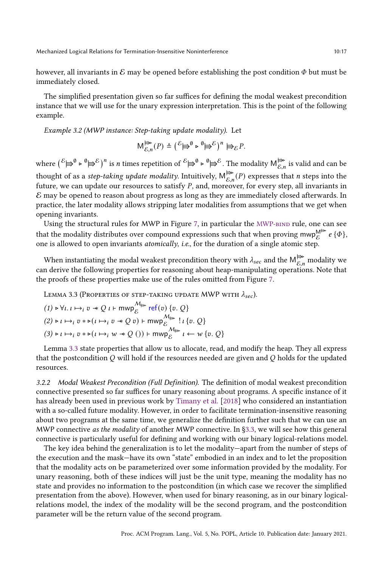however, all invariants in  $\mathcal E$  may be opened before establishing the post condition  $\Phi$  but must be immediately closed.

The simplified presentation given so far suffices for defining the modal weakest precondition instance that we will use for the unary expression interpretation. This is the point of the following example.

<span id="page-16-2"></span>Example 3.2 (MWP instance: Step-taking update modality). Let

$$
\mathsf{M}^{\not\Rightarrow\bullet}_{\mathcal{E},n}(P) \triangleq (\mathcal{E}^{\mathcal{E}})^{\emptyset} \triangleright^{\emptyset} \Rightarrow \mathcal{E})^n \models_{\mathcal{E}} P.
$$

where  $({}^{\mathcal{E}}\mathbf{\Huge{\rightleftharpoons}}^{\emptyset} \mathbf{B}^{\mathcal{E}})^n$  is *n* times repetition of  ${}^{\mathcal{E}}\mathbf{\Huge{\rightleftharpoons}}^{\emptyset} \mathbf{B}^{\mathcal{E}}$ . The modality  $\mathsf{M}_{\mathcal{E},n}^{\mathbf{\Huge{\rightleftharpoons}}\mathbf{B}}$  $\mathcal{E}_{\mathcal{E},n}^{\Rightarrow}$  is valid and can be thought of as a *step-taking update modality*. Intuitively, M<sup>⇒</sup>  $\mathcal{E}_{\mathcal{E},n}^{\pmb{\Rightarrow}}(P)$  expresses that *n* steps into the future, we can update our resources to satisfy  $P$ , and, moreover, for every step, all invariants in  $\mathcal E$  may be opened to reason about progress as long as they are immediately closed afterwards. In practice, the later modality allows stripping later modalities from assumptions that we get when opening invariants.

Using the structural rules for MWP in Figure [7,](#page-15-0) in particular the MWP-BIND rule, one can see that the modality distributes over compound expressions such that when proving mwp<sup>M</mark>∌ e { $\Phi$ },</sup> one is allowed to open invariants atomically, i.e., for the duration of a single atomic step.

When instantiating the modal weakest precondition theory with  $\lambda_{sec}$  and the  ${\sf M}^{\Huge \Leftrightarrow_{\mathcal{E},n}}_{\mathcal{E},n}$  modality we can derive the following properties for reasoning about heap-manipulating operations. Note that the proofs of these properties make use of the rules omitted from Figure [7.](#page-15-0)

<span id="page-16-0"></span>LEMMA 3.3 (PROPERTIES OF STEP-TAKING UPDATE MWP WITH  $\lambda_{sec}$ ).

$$
(1) \triangleright \forall \iota. \iota \mapsto_i v * Q \iota \vdash \text{mwp}_{\varepsilon}^{\mathcal{M}_{\nleftrightarrow}} \text{ref}(v) \{v. Q\}
$$
  
(2) \triangleright \iota \mapsto\_i v \* \triangleright (\iota \mapsto\_i v \* Q \, v) \vdash \text{mwp}\_{\varepsilon}^{\mathcal{M}\_{\nleftrightarrow}} ! \iota \{v. Q\}  
(3) \triangleright \iota \mapsto\_i v \* \triangleright (\iota \mapsto\_i w \* Q \, () ) \vdash \text{mwp}\_{\varepsilon}^{\mathcal{M}\_{\nleftrightarrow}} \iota \leftarrow w \{v. Q\}

Lemma [3.3](#page-16-0) state properties that allow us to allocate, read, and modify the heap. They all express that the postcondition  $O$  will hold if the resources needed are given and  $O$  holds for the updated resources.

<span id="page-16-1"></span>3.2.2 Modal Weakest Precondition (Full Definition). The definition of modal weakest precondition connective presented so far suffices for unary reasoning about programs. A specific instance of it has already been used in previous work by [Timany et al.](#page-28-8) [\[2018\]](#page-28-8) who considered an instantiation with a so-called future modality. However, in order to facilitate termination-insensitive reasoning about two programs at the same time, we generalize the definition further such that we can use an MWP connective as the modality of another MWP connective. In §3.3, we will see how this general connective is particularly useful for defining and working with our binary logical-relations model.

The key idea behind the generalization is to let the modality—apart from the number of steps of the execution and the mask—have its own "state" embodied in an index and to let the proposition that the modality acts on be parameterized over some information provided by the modality. For unary reasoning, both of these indices will just be the unit type, meaning the modality has no state and provides no information to the postcondition (in which case we recover the simplified presentation from the above). However, when used for binary reasoning, as in our binary logicalrelations model, the index of the modality will be the second program, and the postcondition parameter will be the return value of the second program.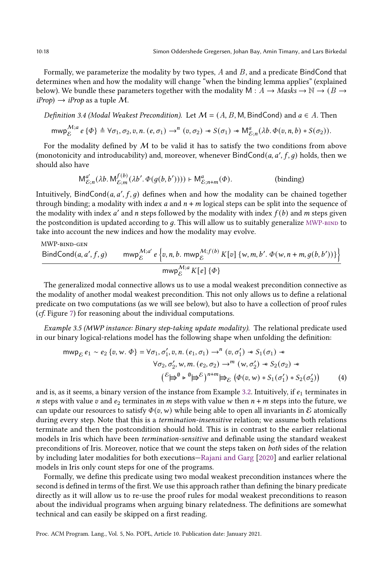Formally, we parameterize the modality by two types,  $A$  and  $B$ , and a predicate BindCond that determines when and how the modality will change "when the binding lemma applies" (explained below). We bundle these parameters together with the modality M :  $A \rightarrow Mask \rightarrow \mathbb{N} \rightarrow (B \rightarrow$  $iProp$ )  $\rightarrow$  *iProp* as a tuple M.

Definition 3.4 (Modal Weakest Precondition). Let  $\mathcal{M} = (A, B, M, B)$  and  $\mathcal{M} = (A, B, M)$ 

$$
\text{mwp}_{\mathcal{E}}^{\mathcal{M};a} e \{\Phi\} \triangleq \forall \sigma_1, \sigma_2, v, n. (e, \sigma_1) \rightarrow^n (v, \sigma_2) \cdot S(\sigma_1) \cdot M_{\mathcal{E};n}^a (\lambda b. \Phi(v, n, b) * S(\sigma_2)).
$$

For the modality defined by  $M$  to be valid it has to satisfy the two conditions from above (monotonicity and introducability) and, moreover, whenever  $\textsf{BindCond}(a, a', f, g)$  holds, then we should also have

$$
M_{\mathcal{E};n}^{a'}(\lambda b. M_{\mathcal{E};m}^{f(b)}(\lambda b'. \Phi(g(b, b')))) \vdash M_{\mathcal{E};n+m}^{a}(\Phi).
$$
 (binding)

Intuitively, BindCond( $a$ ,  $a'$ ,  $f$ ,  $g$ ) defines when and how the modality can be chained together through binding; a modality with index a and  $n + m$  logical steps can be split into the sequence of the modality with index  $a'$  and n steps followed by the modality with index  $f(b)$  and m steps given the postcondition is updated according to  $q$ . This will allow us to suitably generalize  $MWP-BIND$  to take into account the new indices and how the modality may evolve.

MWP-bind-gen

$$
\frac{\text{BindCond}(a, a', f, g) \qquad \text{mwp}_{\mathcal{E}}^{M; a'} e \left\{v, n, b. \text{mwp}_{\mathcal{E}}^{M; f(b)} K[v] \left\{w, m, b', \Phi(w, n + m, g(b, b'))\right\}\right\}}{\text{mwp}_{\mathcal{E}}^{M; a} K[e] \left\{\Phi\right\}}
$$

The generalized modal connective allows us to use a modal weakest precondition connective as the modality of another modal weakest precondition. This not only allows us to define a relational predicate on two computations (as we will see below), but also to have a collection of proof rules (cf. Figure [7\)](#page-15-0) for reasoning about the individual computations.

<span id="page-17-1"></span>Example 3.5 (MWP instance: Binary step-taking update modality). The relational predicate used in our binary logical-relations model has the following shape when unfolding the definition:

<span id="page-17-0"></span>
$$
\begin{aligned}\n\text{mwp}_{\mathcal{E}} \, e_1 &\sim e_2 \left\{ v, w. \, \Phi \right\} = \forall \sigma_1, \sigma_1', v, n. \left( e_1, \sigma_1 \right) \to^n \left( v, \sigma_1' \right) \ast S_1(\sigma_1) \ast \\
&\quad \forall \sigma_2, \sigma_2', w, m. \left( e_2, \sigma_2 \right) \to^m \left( w, \sigma_2' \right) \ast S_2(\sigma_2) \ast \\
&\quad \left( \mathcal{E} \middle| \biguplus^{\mathcal{E}} \mathcal{P} \right) \uplus^{\mathcal{E}} \right)^{n+m} \biguplus_{\mathcal{E}} \left( \Phi(v, w) \ast S_1(\sigma_1') \ast S_2(\sigma_2') \right)\n\end{aligned} \tag{4}
$$

and is, as it seems, a binary version of the instance from Example [3.2.](#page-16-2) Intuitively, if  $e_1$  terminates in n steps with value v and  $e_2$  terminates in m steps with value w then  $n + m$  steps into the future, we can update our resources to satisfy  $\Phi(v, w)$  while being able to open all invariants in E atomically during every step. Note that this is a *termination-insensitive* relation; we assume both relations terminate and then the postcondition should hold. This is in contrast to the earlier relational models in Iris which have been termination-sensitive and definable using the standard weakest preconditions of Iris. Moreover, notice that we count the steps taken on both sides of the relation by including later modalities for both executions–Rajani and Garg [\[2020\]](#page-28-6) and earlier relational models in Iris only count steps for one of the programs.

Formally, we define this predicate using two modal weakest precondition instances where the second is defined in terms of the first. We use this approach rather than defining the binary predicate directly as it will allow us to re-use the proof rules for modal weakest preconditions to reason about the individual programs when arguing binary relatedness. The definitions are somewhat technical and can easily be skipped on a first reading.

Proc. ACM Program. Lang., Vol. 5, No. POPL, Article 10. Publication date: January 2021.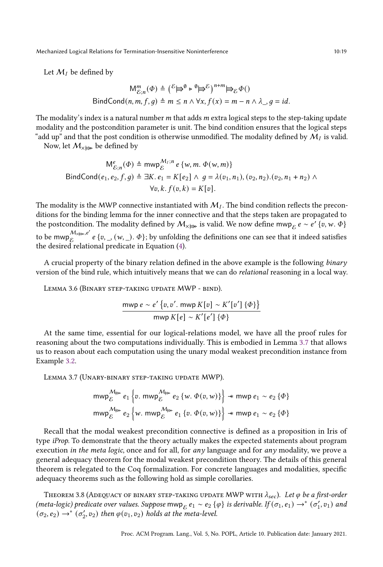Let  $M_I$  be defined by

$$
M_{\mathcal{E};n}^m(\Phi) \triangleq {\mathcal{E} \oplus^{\emptyset} \triangleright^{\emptyset} \oplus^{\mathcal{E}} \mathcal{E} \atop n \to \infty}^{n+m} \oplus_{\mathcal{E}} \Phi()
$$
  
BindCond(n, m, f, g)  $\triangleq m \le n \wedge \forall x, f(x) = m - n \wedge \lambda \cdot g = id.$ 

The modality's index is a natural number  $m$  that adds  $m$  extra logical steps to the step-taking update modality and the postcondition parameter is unit. The bind condition ensures that the logical steps "add up" and that the post condition is otherwise unmodified. The modality defined by  $\mathcal{M}_I$  is valid.

Now, let  $M_{\times \boxplus \bullet}$  be defined by

$$
M_{\mathcal{E};n}^{e}(\Phi) \triangleq \text{mwp}_{\mathcal{E}}^{M_{I};n} e \{w, m. \Phi(w, m)\}
$$
  
\n
$$
\text{BindCond}(e_1, e_2, f, g) \triangleq \exists K. e_1 = K[e_2] \land g = \lambda(v_1, n_1), (v_2, n_2). (v_2, n_1 + n_2) \land \forall v, k. f(v, k) = K[v].
$$

The modality is the MWP connective instantiated with  $M<sub>I</sub>$ . The bind condition reflects the preconditions for the binding lemma for the inner connective and that the steps taken are propagated to the postcondition. The modality defined by  $\mathcal{M}_{\times \ncong}$  is valid. We now define mwp $_{\mathcal{E}} e \sim e' \{v, w, \Phi\}$ to be mwp $\mathcal{M}_{\mathsf{X}\not\Rightarrow\mathsf{P}},e'$  $\mathcal{E}^{\mathcal{W}_{\mathcal{A}\neq\mathcal{S}},\epsilon}$  e { $v,$  \_, (w, \_).  $\Phi$ }; by unfolding the definitions one can see that it indeed satisfies the desired relational predicate in Equation [\(4\)](#page-17-0).

A crucial property of the binary relation defined in the above example is the following binary version of the bind rule, which intuitively means that we can do relational reasoning in a local way.

<span id="page-18-0"></span>LEMMA 3.6 (BINARY STEP-TAKING UPDATE MWP - BIND).

$$
\frac{\text{mwp } e \sim e' \{v, v', \text{mwp } K[v] \sim K'[v'] \{ \Phi \} \}}{\text{mwp } K[e] \sim K'[e'] \{ \Phi \}}
$$

At the same time, essential for our logical-relations model, we have all the proof rules for reasoning about the two computations individually. This is embodied in Lemma [3.7](#page-18-1) that allows us to reason about each computation using the unary modal weakest precondition instance from Example [3.2.](#page-16-2)

<span id="page-18-1"></span>Lemma 3.7 (Unary-binary step-taking update MWP).

$$
\begin{aligned}\n&\text{mwp}_{\mathcal{E}}^{\mathcal{M}_{\text{lin}}}e_{1}\left\{v.\ \text{mwp}_{\mathcal{E}}^{\mathcal{M}_{\text{lin}}}e_{2}\left\{w.\ \Phi(v,w)\right\}\right\} \n\end{aligned} \n\overset{\text{mwp}_{\mathcal{E}}e_{1}}{=} \left\{v.\ \text{mwp}_{\mathcal{E}}^{\mathcal{M}_{\text{lin}}}e_{1}\left\{v.\ \Phi(v,w)\right\}\right\} \n\overset{\text{mwp}_{\mathcal{E}}e_{1}}{=} e_{2}\left\{\Phi\right\}
$$

Recall that the modal weakest precondition connective is defined as a proposition in Iris of type iProp. To demonstrate that the theory actually makes the expected statements about program execution in the meta logic, once and for all, for any language and for any modality, we prove a general adequacy theorem for the modal weakest precondition theory. The details of this general theorem is relegated to the Coq formalization. For concrete languages and modalities, specific adequacy theorems such as the following hold as simple corollaries.

<span id="page-18-2"></span>THEOREM 3.8 (ADEQUACY OF BINARY STEP-TAKING UPDATE MWP WITH  $\lambda_{sec}$ ). Let  $\varphi$  be a first-order (meta-logic) predicate over values. Suppose mwp<sub>E</sub>  $e_1 \sim e_2$  { $\varphi$ } is derivable. If  $(\sigma_1, e_1) \to^* (\sigma'_1, v_1)$  and  $(\sigma_2, e_2) \rightarrow^* (\sigma_2', v_2)$  then  $\varphi(v_1, v_2)$  holds at the meta-level.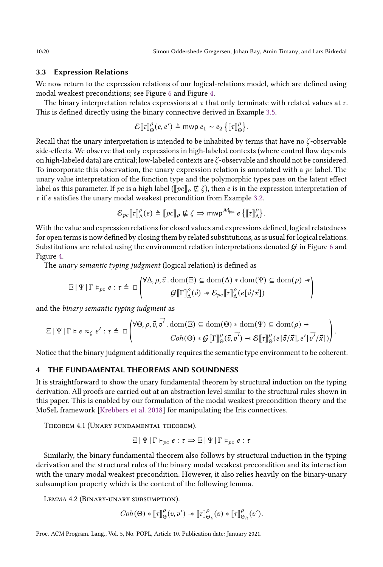# <span id="page-19-0"></span>3.3 Expression Relations

We now return to the expression relations of our logical-relations model, which are defined using modal weakest preconditions; see Figure [6](#page-13-0) and Figure [4.](#page-10-0)

The binary interpretation relates expressions at  $\tau$  that only terminate with related values at  $\tau$ . This is defined directly using the binary connective derived in Example [3.5.](#page-17-1)

$$
\mathcal{E}[\![\tau]\!]_{\Theta}^{\rho}(e,e') \triangleq \text{mwp } e_1 \sim e_2 \left\{ [\![\tau]\!]_{\Theta}^{\rho} \right\}.
$$

Recall that the unary interpretation is intended to be inhabited by terms that have no  $\zeta$ -observable side-effects. We observe that only expressions in high-labeled contexts (where control flow depends on high-labeled data) are critical; low-labeled contexts are  $\zeta$ -observable and should not be considered. To incorporate this observation, the unary expression relation is annotated with a  $pc$  label. The unary value interpretation of the function type and the polymorphic types pass on the latent effect label as this parameter. If pc is a high label ( $\llbracket p \ll \zeta$ ), then e is in the expression interpretation of  $\tau$  if *e* satisfies the unary modal weakest precondition from Example [3.2.](#page-16-2)

$$
\mathcal{E}_{pc}[\![\tau]\!]_{\Delta}^{\rho}(e) \triangleq [\![pc]\!]_{\rho} \not\sqsubseteq \zeta \Rightarrow \text{mwp}^{\mathcal{M}_{\text{f}}}\stackrel{P}{\longrightarrow} e\left\{[\![\tau]\!]_{\Delta}^{\rho}\right\}.
$$

With the value and expression relations for closed values and expressions defined, logical relatedness for open terms is now defined by closing them by related substitutions, as is usual for logical relations. Substitutions are related using the environment relation interpretations denoted  $G$  in Figure [6](#page-13-0) and Figure [4.](#page-10-0)

The *unary semantic typing judgment* (logical relation) is defined as

$$
\Xi \,|\, \Psi \,|\, \Gamma \models_{pc} e : \tau \triangleq \square \left( \begin{matrix}\forall \Delta, \rho, \vec{v} \,.\, \text{dom}(\Xi) \subseteq \text{dom}(\Delta) * \text{dom}(\Psi) \subseteq \text{dom}(\rho) \, \twoheadrightarrow \\ \hspace{2.5cm} \mathcal{G} \, [\![\Gamma]\!]^\rho_\Delta(\vec{v}) \, \twoheadrightarrow \mathcal{E}_{pc} \, [\![\tau]\!]^\rho_\Delta(e [\vec{v}/\vec{x}]) \end{matrix} \right)
$$

and the binary semantic typing judgment as

$$
\Xi \mid \Psi \mid \Gamma \models e \approx_{\zeta} e' : \tau \triangleq \Box \left( \begin{matrix} \forall \Theta, \rho, \vec{v}, \vec{v'} \, \text{.} \, \text{dom}(\Xi) \subseteq \text{dom}(\Theta) * \text{dom}(\Psi) \subseteq \text{dom}(\rho) * \\ \text{Coh}(\Theta) * \mathcal{G}[\![\Gamma]\!]_{\Theta}^{\rho}(\vec{v}, \vec{v'}) \twoheadrightarrow \mathcal{E}[\![\tau]\!]_{\Theta}^{\rho}(e[\vec{v}/\vec{x}], e'[\vec{v'}/\vec{x}]) \end{matrix} \right).
$$

Notice that the binary judgment additionally requires the semantic type environment to be coherent.

# <span id="page-19-1"></span>THE FUNDAMENTAL THEOREMS AND SOUNDNESS

It is straightforward to show the unary fundamental theorem by structural induction on the typing derivation. All proofs are carried out at an abstraction level similar to the structural rules shown in this paper. This is enabled by our formulation of the modal weakest precondition theory and the MoSeL framework [\[Krebbers et al. 2018\]](#page-27-10) for manipulating the Iris connectives.

<span id="page-19-3"></span>Theorem 4.1 (Unary fundamental theorem).

$$
\Xi | \Psi | \Gamma \vdash_{pc} e : \tau \Rightarrow \Xi | \Psi | \Gamma \vdash_{pc} e : \tau
$$

Similarly, the binary fundamental theorem also follows by structural induction in the typing derivation and the structural rules of the binary modal weakest precondition and its interaction with the unary modal weakest precondition. However, it also relies heavily on the binary-unary subsumption property which is the content of the following lemma.

<span id="page-19-2"></span>Lemma 4.2 (Binary-unary subsumption).

$$
Coh(\Theta) * [\![\tau]\!]^\rho_\Theta(v,v') \twoheadrightarrow [\![\tau]\!]^\rho_{\Theta_L}(v) * [\![\tau]\!]^\rho_{\Theta_R}(v').
$$

Proc. ACM Program. Lang., Vol. 5, No. POPL, Article 10. Publication date: January 2021.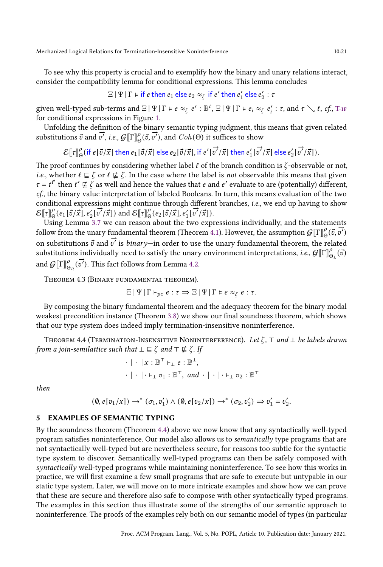To see why this property is crucial and to exemplify how the binary and unary relations interact, consider the compatibility lemma for conditional expressions. This lemma concludes

$$
\Xi \mid \Psi \mid \Gamma \models \text{if } e \text{ then } e_1 \text{ else } e_2 \approx_{\zeta} \text{if } e' \text{ then } e'_1 \text{ else } e'_2 : \tau
$$

given well-typed sub-terms and  $\Xi | \Psi | \Gamma \models e \approx_{\zeta} e' : \mathbb{B}^{\ell}, \Xi | \Psi | \Gamma \models e_i \approx_{\zeta} e'_i : \tau$ , and  $\tau \searrow \ell$ ,  $\epsilon f$ , T-IF for conditional expressions in Figure [1.](#page-7-0)

Unfolding the definition of the binary semantic typing judgment, this means that given related substitutions  $\vec{v}$  and  $\vec{v'}$ , i.e.,  $\mathcal{G}[\Gamma \rrbracket_{\theta}^{\theta}(\vec{v}, \vec{v'})$ , and  $Coh(\Theta)$  it suffices to show

 $\mathcal{E}\llbracket \tau \rrbracket^{\rho}$  (if  $e[\vec{v}/\vec{x}]$  then  $e_1[\vec{v}/\vec{x}]$  else  $e_2[\vec{v}/\vec{x}]$  , if  $e'[$  $\rightarrow$  $\vec{v'}\vec{x}$  then  $e'_1$  [  $\rightarrow$  $\vec{v'}$  $\vec{x}$ ] else  $e'_2$  [  $\rightarrow$  $\overrightarrow{v'}(\vec{x}]).$ 

The proof continues by considering whether label  $\ell$  of the branch condition is  $\zeta$ -observable or not, *i.e.*, whether  $\ell \sqsubseteq \zeta$  or  $\ell \not\sqsubseteq \zeta$ . In the case where the label is not observable this means that given  $\tau = t^{e'}$  then  $e' \not\sqsubseteq \zeta$  as well and hence the values that e and e' evaluate to are (potentially) different, cf., the binary value interpretation of labeled Booleans. In turn, this means evaluation of the two conditional expressions might continue through different branches, *i.e.*, we end up having to show  $\mathcal{E}[\tau]\big|_0^0(e_1[\vec{v}/\vec{x}], e'_2[\vec{v}'/\vec{x}])$  and  $\mathcal{E}[\tau]\big|_0^0(e_2[\vec{v}/\vec{x}], e'_1[\vec{v}'/\vec{x}]).$ 

Using Lemma [3.7](#page-18-1) we can reason about the two expressions individually, and the statements follow from the unary fundamental theorem (Theorem [4.1\)](#page-19-3). However, the assumption  $\mathcal{G}[\Gamma]_{\Theta}^{0}(\vec{v}, \vec{v}')$ on substitutions  $\vec{v}$  and  $\vec{v'}$  is *binary*—in order to use the unary fundamental theorem, the related substitutions individually need to satisfy the unary environment interpretations, *i.e.*,  $\mathcal{G}[\![\Gamma]\!]_{\Theta_L}^{\rho}(\vec{v})$ and  $G[\![\Gamma]\!]^\rho_{\Theta_R}(\vec{v'})$ . This fact follows from Lemma [4.2.](#page-19-2)

Theorem 4.3 (Binary fundamental theorem).

$$
\Xi \,|\, \Psi \,|\, \Gamma \vdash_{pc} e : \tau \Rightarrow \Xi \,|\, \Psi \,|\, \Gamma \models e \approx_{\zeta} e : \tau.
$$

By composing the binary fundamental theorem and the adequacy theorem for the binary modal weakest precondition instance (Theorem [3.8\)](#page-18-2) we show our final soundness theorem, which shows that our type system does indeed imply termination-insensitive noninterference.

<span id="page-20-1"></span>THEOREM 4.4 (TERMINATION-INSENSITIVE NONINTERFERENCE). Let  $\zeta$ ,  $\tau$  and  $\bot$  be labels drawn from a join-semilattice such that  $\bot \sqsubseteq \zeta$  and  $\top \not\sqsubseteq \zeta$ . If

$$
\cdot | \cdot | x : \mathbb{B}^{\top} \vdash_{\bot} e : \mathbb{B}^{\bot},
$$
  

$$
\cdot | \cdot | \cdot \vdash_{\bot} v_1 : \mathbb{B}^{\top}, \text{ and } \cdot | \cdot | \cdot \vdash_{\bot} v_2 : \mathbb{B}^{\top}
$$

then

$$
(\emptyset,e[v_1/x])\rightarrow^*(\sigma_1,v'_1)\wedge(\emptyset,e[v_2/x])\rightarrow^*(\sigma_2,v'_2)\Rightarrow v'_1=v'_2.
$$

# <span id="page-20-0"></span>5 EXAMPLES OF SEMANTIC TYPING

By the soundness theorem (Theorem [4.4\)](#page-20-1) above we now know that any syntactically well-typed program satisfies noninterference. Our model also allows us to semantically type programs that are not syntactically well-typed but are nevertheless secure, for reasons too subtle for the syntactic type system to discover. Semantically well-typed programs can then be safely composed with syntactically well-typed programs while maintaining noninterference. To see how this works in practice, we will first examine a few small programs that are safe to execute but untypable in our static type system. Later, we will move on to more intricate examples and show how we can prove that these are secure and therefore also safe to compose with other syntactically typed programs. The examples in this section thus illustrate some of the strengths of our semantic approach to noninterference. The proofs of the examples rely both on our semantic model of types (in particular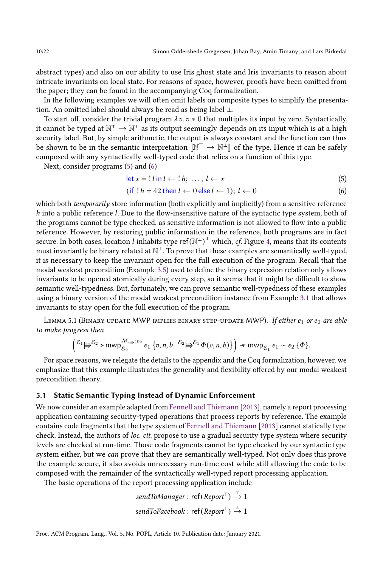abstract types) and also on our ability to use Iris ghost state and Iris invariants to reason about intricate invariants on local state. For reasons of space, however, proofs have been omitted from the paper; they can be found in the accompanying Coq formalization.

In the following examples we will often omit labels on composite types to simplify the presentation. An omitted label should always be read as being label ⊥.

To start off, consider the trivial program  $\lambda v \cdot v * 0$  that multiples its input by zero. Syntactically, it cannot be typed at  $\mathbb{N}^{\top} \to \mathbb{N}^{\bot}$  as its output seemingly depends on its input which is at a high security label. But, by simple arithmetic, the output is always constant and the function can thus be shown to be in the semantic interpretation  $\llbracket \mathbb{N}^{\top} \to \mathbb{N}^{\perp} \rrbracket$  of the type. Hence it can be safely composed with any syntactically well-typed code that relies on a function of this type.

Next, consider programs [\(5\)](#page-21-0) and [\(6\)](#page-21-1)

<span id="page-21-1"></span><span id="page-21-0"></span>
$$
\det x = ! \, l \, \text{in} \, l \leftarrow ! \, h; \, \dots; \, l \leftarrow x \tag{5}
$$

$$
(if ! h = 42 then l \leftarrow 0 else l \leftarrow 1); l \leftarrow 0 \tag{6}
$$

which both *temporarily* store information (both explicitly and implicitly) from a sensitive reference  $h$  into a public reference  $l$ . Due to the flow-insensitive nature of the syntactic type system, both of the programs cannot be type checked, as sensitive information is not allowed to flow into a public reference. However, by restoring public information in the reference, both programs are in fact secure. In both cases, location *l* inhabits type ref $(\mathbb{N}^{\perp})^{\perp}$  which, *cf.* Figure [4,](#page-10-0) means that its contents must invariantly be binary related at  $\mathbb{N}^{\perp}$ . To prove that these examples are semantically well-typed, it is necessary to keep the invariant open for the full execution of the program. Recall that the modal weakest precondition (Example [3.5\)](#page-17-1) used to define the binary expression relation only allows invariants to be opened atomically during every step, so it seems that it might be difficult to show semantic well-typedness. But, fortunately, we can prove semantic well-typedness of these examples using a binary version of the modal weakest precondition instance from Example [3.1](#page-15-3) that allows invariants to stay open for the full execution of the program.

LEMMA 5.1 (BINARY UPDATE MWP IMPLIES BINARY STEP-UPDATE MWP). If either  $e_1$  or  $e_2$  are able to make progress then

$$
\left({\mathcal E}_1 \biguplus {\mathcal E}_2 \text{ p mwp}_{\mathcal{E}_2}^{\mathcal{M}_{\times \biguplus};e_2} e_1 \left\{v,n,b. \right. {\mathcal E}_2 \biguplus {\mathcal E}_1 \varphi(v,n,b) \right\} \right) \twoheadrightarrow \text{mwp}_{\mathcal{E}_1} e_1 \sim e_2 \left\{\Phi\right\}.
$$

For space reasons, we relegate the details to the appendix and the Coq formalization, however, we emphasize that this example illustrates the generality and flexibility offered by our modal weakest precondition theory.

# 5.1 Static Semantic Typing Instead of Dynamic Enforcement

We now consider an example adapted from [Fennell and Thiemann](#page-27-15) [\[2013\]](#page-27-15), namely a report processing application containing security-typed operations that process reports by reference. The example contains code fragments that the type system of [Fennell and Thiemann](#page-27-15) [\[2013\]](#page-27-15) cannot statically type check. Instead, the authors of loc. cit. propose to use a gradual security type system where security levels are checked at run-time. Those code fragments cannot be type checked by our syntactic type system either, but we can prove that they are semantically well-typed. Not only does this prove the example secure, it also avoids unnecessary run-time cost while still allowing the code to be composed with the remainder of the syntactically well-typed report processing application.

The basic operations of the report processing application include

$$
sendToManager: ref(ReportT) \stackrel{\tau}{\rightarrow} 1
$$
\n
$$
sendToFacebook: ref(Report\bot) \stackrel{\iota}{\rightarrow} 1
$$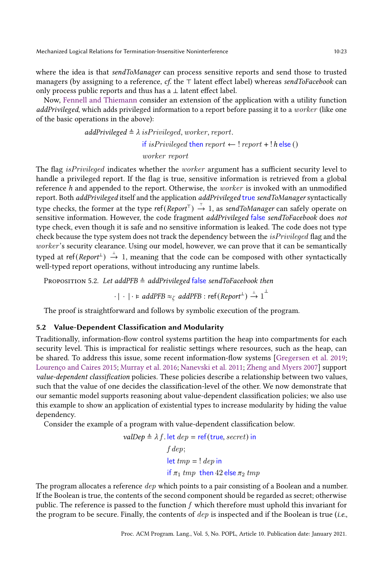where the idea is that sendToManager can process sensitive reports and send those to trusted managers (by assigning to a reference, cf. the ⊤ latent effect label) whereas sendToFacebook can only process public reports and thus has a ⊥ latent effect label.

Now, [Fennell and Thiemann](#page-27-15) consider an extension of the application with a utility function addPrivileged, which adds privileged information to a report before passing it to a worker (like one of the basic operations in the above):

$$
addPrivileged \triangleq \lambda isPrivileged, worker, report.
$$
  
if isPrivileged then report  $\leftarrow$ ! report + ! h else ()  
worker report

The flag *isPrivileged* indicates whether the *worker* argument has a sufficient security level to handle a privileged report. If the flag is true, sensitive information is retrieved from a global reference h and appended to the report. Otherwise, the *worker* is invoked with an unmodified report. Both addPrivileged itself and the application addPrivileged true sendToManager syntactically type checks, the former at the type ref $(\mathit{Report}^\top) \stackrel{\tau}{\to} 1$ , as s*endToManager* can safely operate on sensitive information. However, the code fragment addPrivileged false sendToFacebook does not type check, even though it is safe and no sensitive information is leaked. The code does not type check because the type system does not track the dependency between the *isPrivileged* flag and the worker's security clearance. Using our model, however, we can prove that it can be semantically typed at ref(Report  $\mapsto$  1, meaning that the code can be composed with other syntactically well-typed report operations, without introducing any runtime labels.

PROPOSITION 5.2. Let addPFB  $\triangleq$  addPrivileged false sendToFacebook then

 $\cdot\mid\cdot\mid\cdot$   $\models$   $add PFB\approx_{\zeta} add PFB:$  ref $(\mathit{Report}^{\bot})\stackrel{\perp}{\rightarrow} 1^{\stackrel{\perp}{\rightarrow}}$ 

The proof is straightforward and follows by symbolic execution of the program.

# 5.2 Value-Dependent Classification and Modularity

Traditionally, information-flow control systems partition the heap into compartments for each security level. This is impractical for realistic settings where resources, such as the heap, can be shared. To address this issue, some recent information-flow systems [\[Gregersen et al.](#page-27-4) [2019;](#page-27-4) [Lourenço and Caires 2015;](#page-27-2) [Murray et al.](#page-27-16) [2016;](#page-27-16) [Nanevski et al.](#page-27-17) [2011;](#page-27-17) [Zheng and Myers 2007\]](#page-28-11) support value-dependent classification policies. These policies describe a relationship between two values, such that the value of one decides the classification-level of the other. We now demonstrate that our semantic model supports reasoning about value-dependent classification policies; we also use this example to show an application of existential types to increase modularity by hiding the value dependency.

Consider the example of a program with value-dependent classification below.

$$
valDep ≈ λf. let dep = ref(true, secret) in
$$
  

$$
f dep;
$$
  
let  $tmp = ! dep$  in  
if  $π₁$  *tmp* then 42 else  $π₂$  *tmp*

The program allocates a reference *dep* which points to a pair consisting of a Boolean and a number. If the Boolean is true, the contents of the second component should be regarded as secret; otherwise public. The reference is passed to the function  $f$  which therefore must uphold this invariant for the program to be secure. Finally, the contents of  $dep$  is inspected and if the Boolean is true (i.e.,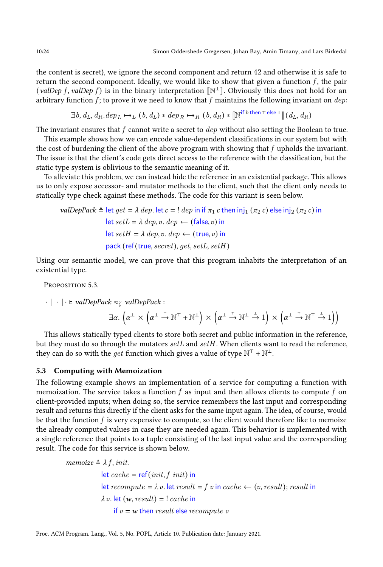the content is secret), we ignore the second component and return 42 and otherwise it is safe to return the second component. Ideally, we would like to show that given a function  $f$ , the pair (valDep f, valDep f) is in the binary interpretation  $[\mathbb{N}^{\perp}]$ . Obviously this does not hold for an arbitrary function  $f$ ; to prove it we need to know that  $f$  maintains the following invariant on  $dep$ :

$$
\exists b, d_L, d_R. \text{dep}_L \mapsto_L (b, d_L) * \text{dep}_R \mapsto_R (b, d_R) * [\mathbb{N}^{\text{if } b \text{ then } \top \text{ else } \bot}](d_L, d_R)
$$

The invariant ensures that  $f$  cannot write a secret to  $dep$  without also setting the Boolean to true.

This example shows how we can encode value-dependent classifications in our system but with the cost of burdening the client of the above program with showing that  $f$  upholds the invariant. The issue is that the client's code gets direct access to the reference with the classification, but the static type system is oblivious to the semantic meaning of it.

To alleviate this problem, we can instead hide the reference in an existential package. This allows us to only expose accessor- and mutator methods to the client, such that the client only needs to statically type check against these methods. The code for this variant is seen below.

$$
valDepPack \triangleq let get = \lambda \, dep. \, let \, c = ! \, dep \, in \, if \, \pi_1 \, c \, then \, inj_1 \, (\pi_2 \, c) \, else \, inj_2 \, (\pi_2 \, c) \, in \, let \, setL = \lambda \, dep, v. \, dep \leftarrow (\text{false}, v) \, in \, \, let \, setH = \lambda \, dep, v. \, dep \leftarrow (\text{true}, v) \, in \, \, pack (\text{ref} (\text{true}, secret), get, setL, setH)
$$

Using our semantic model, we can prove that this program inhabits the interpretation of an existential type.

Proposition 5.3.

$$
\cdot | \cdot | \cdot \models \text{valDepPack} \approx_{\zeta} \text{valDepPack} : \\ \exists \alpha. \left( \alpha^{\perp} \times \left( \alpha^{\perp} \stackrel{\tau}{\rightarrow} \mathbb{N}^{\top} + \mathbb{N}^{\perp} \right) \times \left( \alpha^{\perp} \stackrel{\tau}{\rightarrow} \mathbb{N}^{\perp} \stackrel{\perp}{\rightarrow} 1 \right) \times \left( \alpha^{\perp} \stackrel{\tau}{\rightarrow} \mathbb{N}^{\top} \stackrel{\perp}{\rightarrow} 1 \right) \right)
$$

This allows statically typed clients to store both secret and public information in the reference, but they must do so through the mutators  $setL$  and  $setH$ . When clients want to read the reference, they can do so with the *get* function which gives a value of type  $\mathbb{N}^{\top} + \mathbb{N}^{\bot}$ .

# 5.3 Computing with Memoization

The following example shows an implementation of a service for computing a function with memoization. The service takes a function  $f$  as input and then allows clients to compute  $f$  on client-provided inputs; when doing so, the service remembers the last input and corresponding result and returns this directly if the client asks for the same input again. The idea, of course, would be that the function  $f$  is very expensive to compute, so the client would therefore like to memoize the already computed values in case they are needed again. This behavior is implemented with a single reference that points to a tuple consisting of the last input value and the corresponding result. The code for this service is shown below.

memoize  $\triangleq \lambda f$ , init. let  $cache = ref(int, f\ init)$  in let recompute =  $\lambda v$ . let result = f v in cache  $\leftarrow$  (v, result); result in  $\lambda v.$  let  $(w, result) = !$  cache in if  $v = w$  then result else recompute v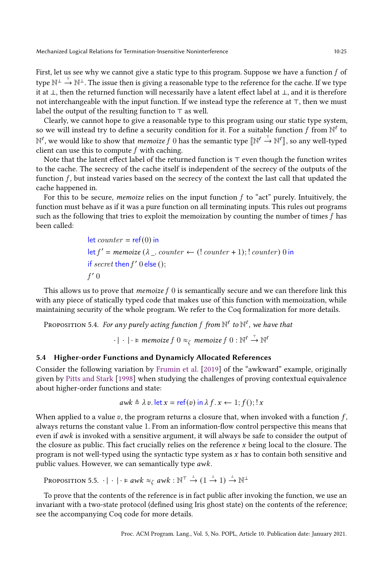First, let us see why we cannot give a static type to this program. Suppose we have a function  $f$  of type  $\mathbb{N}^\perp \stackrel{\tau}{\to} \mathbb{N}^\perp.$  The issue then is giving a reasonable type to the reference for the cache. If we type it at ⊥, then the returned function will necessarily have a latent effect label at ⊥, and it is therefore not interchangeable with the input function. If we instead type the reference at ⊤, then we must label the output of the resulting function to ⊤ as well.

Clearly, we cannot hope to give a reasonable type to this program using our static type system, so we will instead try to define a security condition for it. For a suitable function  $f$  from  $\mathbb{N}^{\ell}$  to  $\mathbb{N}^\ell$ , we would like to show that *memoize*  $f$   $0$  has the semantic type  $[\![\mathbb{N}^\ell\!\stackrel{_{\tau}}{\to}\!\mathbb{N}^\ell]\!]$ , so any well-typed client can use this to compute  $f$  with caching.

Note that the latent effect label of the returned function is ⊤ even though the function writes to the cache. The secrecy of the cache itself is independent of the secrecy of the outputs of the function  $f$ , but instead varies based on the secrecy of the context the last call that updated the cache happened in.

For this to be secure, *memoize* relies on the input function  $f$  to "act" purely. Intuitively, the function must behave as if it was a pure function on all terminating inputs. This rules out programs such as the following that tries to exploit the memoization by counting the number of times  $f$  has been called:

> let  $counter = ref(0)$  in  $\det f'$  = memoize ( $\lambda$  \_ counter  $\leftarrow$  (! counter + 1); ! counter) 0 in if  $secret$  then  $f'$  0 else ();  $f'$  0

This allows us to prove that *memoize*  $f(0)$  is semantically secure and we can therefore link this with any piece of statically typed code that makes use of this function with memoization, while maintaining security of the whole program. We refer to the Coq formalization for more details.

Proposition 5.4. For any purely acting function  $f$  from  $\mathbb{N}^{\ell}$  to  $\mathbb{N}^{\ell}$ , we have that

 $\cdot \mid \cdot \mid \cdot$   $\vdash$  memoize  $f \ 0 \approx_\zeta \ m$ emoize  $f \ 0 : \mathbb{N}^\ell \stackrel{\tau}{\rightarrow} \mathbb{N}^\ell$ 

# 5.4 Higher-order Functions and Dynamicly Allocated References

Consider the following variation by [Frumin et al.](#page-27-18) [\[2019\]](#page-27-18) of the "awkward" example, originally given by [Pitts and Stark](#page-27-19) [\[1998\]](#page-27-19) when studying the challenges of proving contextual equivalence about higher-order functions and state:

$$
awk \triangleq \lambda v
$$
. let  $x = \text{ref}(v) \text{ in } \lambda f$ .  $x \leftarrow 1; f()$ ;  $x \leftarrow 1$ 

When applied to a value  $v$ , the program returns a closure that, when invoked with a function  $f$ , always returns the constant value 1. From an information-flow control perspective this means that even if  $awk$  is invoked with a sensitive argument, it will always be safe to consider the output of the closure as public. This fact crucially relies on the reference  $x$  being local to the closure. The program is not well-typed using the syntactic type system as  $x$  has to contain both sensitive and public values. However, we can semantically type  $awk$ .

```
Proposition 5.5. \cdot \mid \cdot \mid \cdot \models awk \approx_{\zeta} awk : \mathbb{N}^{\top} \stackrel{\perp}{\rightarrow} (1 \stackrel{\perp}{\rightarrow} 1) \stackrel{\perp}{\rightarrow} \mathbb{N}^{\perp}
```
To prove that the contents of the reference is in fact public after invoking the function, we use an invariant with a two-state protocol (defined using Iris ghost state) on the contents of the reference; see the accompanying Coq code for more details.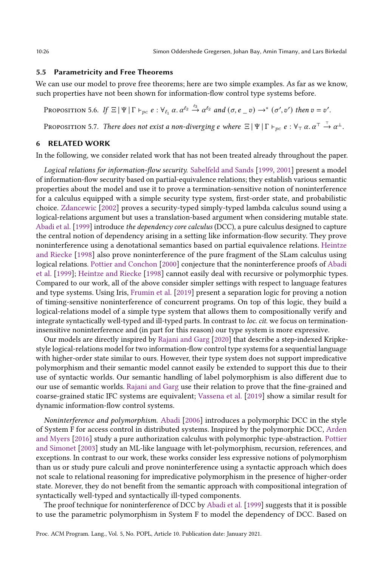# <span id="page-25-0"></span>5.5 Parametricity and Free Theorems

We can use our model to prove free theorems; here are two simple examples. As far as we know, such properties have not been shown for information-flow control type systems before.

PROPOSITION 5.6. If  $\Xi \,|\Psi| \,\Gamma \vdash_{pc} e : \forall_{\ell_1} \alpha. \alpha^{\ell_2} \stackrel{\ell_3}{\rightarrow} \alpha^{\ell_2}$  and  $(\sigma, e \_ v) \rightarrow^* (\sigma', v')$  then  $v = v'$ . Proposition 5.7. There does not exist a non-diverging e where  $\Xi \,|\, \Psi \,|\, \Gamma \vdash_{pc} e : \forall_{\top} \, \alpha . \, \alpha^{\top} \stackrel{\tau}{\to} \alpha^{\bot}.$ 

### 6 RELATED WORK

In the following, we consider related work that has not been treated already throughout the paper.

Logical relations for information-flow security. [Sabelfeld and Sands](#page-28-12) [\[1999,](#page-28-12) [2001\]](#page-28-13) present a model of information-flow security based on partial-equivalence relations; they establish various semantic properties about the model and use it to prove a termination-sensitive notion of noninterference for a calculus equipped with a simple security type system, first-order state, and probabilistic choice. [Zdancewic](#page-28-14) [\[2002\]](#page-28-14) proves a security-typed simply-typed lambda calculus sound using a logical-relations argument but uses a translation-based argument when considering mutable state. [Abadi et al.](#page-26-0) [\[1999\]](#page-26-0) introduce the dependency core calculus (DCC), a pure calculus designed to capture the central notion of dependency arising in a setting like information-flow security. They prove noninterference using a denotational semantics based on partial equivalence relations. [Heintze](#page-27-1) [and Riecke](#page-27-1) [\[1998\]](#page-27-1) also prove noninterference of the pure fragment of the SLam calculus using logical relations. [Pottier and Conchon](#page-28-15) [\[2000\]](#page-28-15) conjecture that the noninterference proofs of [Abadi](#page-26-0) [et al.](#page-26-0) [\[1999\]](#page-26-0); [Heintze and Riecke](#page-27-1) [\[1998\]](#page-27-1) cannot easily deal with recursive or polymorphic types. Compared to our work, all of the above consider simpler settings with respect to language features and type systems. Using Iris, [Frumin et al.](#page-27-18) [\[2019\]](#page-27-18) present a separation logic for proving a notion of timing-sensitive noninterference of concurrent programs. On top of this logic, they build a logical-relations model of a simple type system that allows them to compositionally verify and integrate syntactically well-typed and ill-typed parts. In contrast to loc. cit. we focus on terminationinsensitive noninterference and (in part for this reason) our type system is more expressive.

Our models are directly inspired by [Rajani and Garg](#page-28-6) [\[2020\]](#page-28-6) that describe a step-indexed Kripkestyle logical-relations model for two information-flow control type systems for a sequential language with higher-order state similar to ours. However, their type system does not support impredicative polymorphism and their semantic model cannot easily be extended to support this due to their use of syntactic worlds. Our semantic handling of label polymorphism is also different due to our use of semantic worlds. [Rajani and Garg](#page-28-6) use their relation to prove that the fine-grained and coarse-grained static IFC systems are equivalent; [Vassena et al.](#page-28-16) [\[2019\]](#page-28-16) show a similar result for dynamic information-flow control systems.

Noninterference and polymorphism. [Abadi](#page-26-7) [\[2006\]](#page-26-7) introduces a polymorphic DCC in the style of System F for access control in distributed systems. Inspired by the polymorphic DCC, [Arden](#page-26-1) [and Myers](#page-26-1) [\[2016\]](#page-26-1) study a pure authorization calculus with polymorphic type-abstraction. [Pottier](#page-28-2) [and Simonet](#page-28-2) [\[2003\]](#page-28-2) study an ML-like language with let-polymorphism, recursion, references, and exceptions. In contrast to our work, these works consider less expressive notions of polymorphism than us or study pure calculi and prove noninterference using a syntactic approach which does not scale to relational reasoning for impredicative polymorphism in the presence of higher-order state. Morever, they do not benefit from the semantic approach with compositional integration of syntactically well-typed and syntactically ill-typed components.

The proof technique for noninterference of DCC by [Abadi et al.](#page-26-0) [\[1999\]](#page-26-0) suggests that it is possible to use the parametric polymorphism in System F to model the dependency of DCC. Based on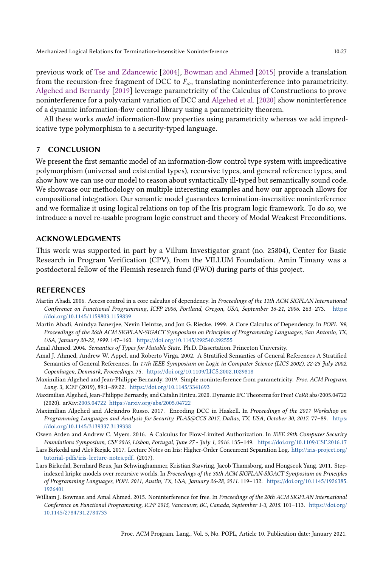previous work of [Tse and Zdancewic](#page-28-17) [\[2004\]](#page-28-17), [Bowman and Ahmed](#page-26-8) [\[2015\]](#page-26-8) provide a translation from the recursion-free fragment of DCC to  $F_{\omega}$ , translating noninterference into parametricity. [Algehed and Bernardy](#page-26-9) [\[2019\]](#page-26-9) leverage parametricity of the Calculus of Constructions to prove noninterference for a polyvariant variation of DCC and [Algehed et al.](#page-26-10) [\[2020\]](#page-26-10) show noninterference of a dynamic information-flow control library using a parametricity theorem.

All these works *model* information-flow properties using parametricity whereas we add impredicative type polymorphism to a security-typed language.

# 7 CONCLUSION

We present the first semantic model of an information-flow control type system with impredicative polymorphism (universal and existential types), recursive types, and general reference types, and show how we can use our model to reason about syntactically ill-typed but semantically sound code. We showcase our methodology on multiple interesting examples and how our approach allows for compositional integration. Our semantic model guarantees termination-insensitive noninterference and we formalize it using logical relations on top of the Iris program logic framework. To do so, we introduce a novel re-usable program logic construct and theory of Modal Weakest Preconditions.

# ACKNOWLEDGMENTS

This work was supported in part by a Villum Investigator grant (no. 25804), Center for Basic Research in Program Verification (CPV), from the VILLUM Foundation. Amin Timany was a postdoctoral fellow of the Flemish research fund (FWO) during parts of this project.

# REFERENCES

- <span id="page-26-7"></span>Martín Abadi. 2006. Access control in a core calculus of dependency. In Proceedings of the 11th ACM SIGPLAN International Conference on Functional Programming, ICFP 2006, Portland, Oregon, USA, September 16-21, 2006. 263-273. [https:](https://doi.org/10.1145/1159803.1159839) [//doi.org/10.1145/1159803.1159839](https://doi.org/10.1145/1159803.1159839)
- <span id="page-26-0"></span>Martín Abadi, Anindya Banerjee, Nevin Heintze, and Jon G. Riecke. 1999. A Core Calculus of Dependency. In POPL '99, Proceedings of the 26th ACM SIGPLAN-SIGACT Symposium on Principles of Programming Languages, San Antonio, TX, USA, January 20-22, 1999. 147-160. <https://doi.org/10.1145/292540.292555>
- <span id="page-26-3"></span>Amal Ahmed. 2004. Semantics of Types for Mutable State. Ph.D. Dissertation. Princeton University.
- <span id="page-26-4"></span>Amal J. Ahmed, Andrew W. Appel, and Roberto Virga. 2002. A Stratified Semantics of General References A Stratified Semantics of General References. In 17th IEEE Symposium on Logic in Computer Science (LICS 2002), 22-25 July 2002, Copenhagen, Denmark, Proceedings. 75. <https://doi.org/10.1109/LICS.2002.1029818>
- <span id="page-26-9"></span>Maximilian Algehed and Jean-Philippe Bernardy. 2019. Simple noninterference from parametricity. Proc. ACM Program. Lang. 3, ICFP (2019), 89:1-89:22. <https://doi.org/10.1145/3341693>
- <span id="page-26-10"></span>Maximilian Algehed, Jean-Philippe Bernardy, and Catalin Hritcu. 2020. Dynamic IFC Theorems for Free! CoRR abs/2005.04722 (2020). arXiv[:2005.04722 https://arxiv.org/abs/2005.04722](https://arxiv.org/abs/2005.04722)
- <span id="page-26-2"></span>Maximilian Algehed and Alejandro Russo. 2017. Encoding DCC in Haskell. In Proceedings of the 2017 Workshop on Programming Languages and Analysis for Security, PLAS@CCS 2017, Dallas, TX, USA, October 30, 2017. 77-89. [https:](https://doi.org/10.1145/3139337.3139338) [//doi.org/10.1145/3139337.3139338](https://doi.org/10.1145/3139337.3139338)
- <span id="page-26-1"></span>Owen Arden and Andrew C. Myers. 2016. A Calculus for Flow-Limited Authorization. In IEEE 29th Computer Security Foundations Symposium, CSF 2016, Lisbon, Portugal, June 27 - July 1, 2016. 135-149. <https://doi.org/10.1109/CSF.2016.17>
- <span id="page-26-6"></span>Lars Birkedal and Aleš Bizjak. 2017. Lecture Notes on Iris: Higher-Order Concurrent Separation Log. [http://iris-project.org/](http://iris-project.org/tutorial-pdfs/iris-lecture-notes.pdf) [tutorial-pdfs/iris-lecture-notes.pdf.](http://iris-project.org/tutorial-pdfs/iris-lecture-notes.pdf) (2017).
- <span id="page-26-5"></span>Lars Birkedal, Bernhard Reus, Jan Schwinghammer, Kristian Støvring, Jacob Thamsborg, and Hongseok Yang. 2011. Stepindexed kripke models over recursive worlds. In Proceedings of the 38th ACM SIGPLAN-SIGACT Symposium on Principles of Programming Languages, POPL 2011, Austin, TX, USA, January 26-28, 2011. 119-132. [https://doi.org/10.1145/1926385.](https://doi.org/10.1145/1926385.1926401) [1926401](https://doi.org/10.1145/1926385.1926401)
- <span id="page-26-8"></span>William J. Bowman and Amal Ahmed. 2015. Noninterference for free. In Proceedings of the 20th ACM SIGPLAN International Conference on Functional Programming, ICFP 2015, Vancouver, BC, Canada, September 1-3, 2015. 101-113. [https://doi.org/](https://doi.org/10.1145/2784731.2784733) [10.1145/2784731.2784733](https://doi.org/10.1145/2784731.2784733)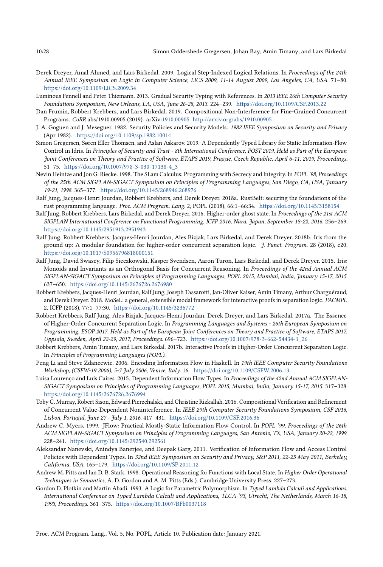- <span id="page-27-11"></span>Derek Dreyer, Amal Ahmed, and Lars Birkedal. 2009. Logical Step-Indexed Logical Relations. In Proceedings of the 24th Annual IEEE Symposium on Logic in Computer Science, LICS 2009, 11-14 August 2009, Los Angeles, CA, USA. 71-80. <https://doi.org/10.1109/LICS.2009.34>
- <span id="page-27-15"></span>Luminous Fennell and Peter Thiemann. 2013. Gradual Security Typing with References. In 2013 IEEE 26th Computer Security Foundations Symposium, New Orleans, LA, USA, June 26-28, 2013. 224-239. <https://doi.org/10.1109/CSF.2013.22>
- <span id="page-27-18"></span>Dan Frumin, Robbert Krebbers, and Lars Birkedal. 2019. Compositional Non-Interference for Fine-Grained Concurrent Programs. CoRR abs/1910.00905 (2019). arXiv[:1910.00905](https://arxiv.org/abs/1910.00905)<http://arxiv.org/abs/1910.00905>
- <span id="page-27-0"></span>J. A. Goguen and J. Meseguer. 1982. Security Policies and Security Models. 1982 IEEE Symposium on Security and Privacy (Apr 1982). <https://doi.org/10.1109/sp.1982.10014>
- <span id="page-27-4"></span>Simon Gregersen, Søren Eller Thomsen, and Aslan Askarov. 2019. A Dependently Typed Library for Static Information-Flow Control in Idris. In Principles of Security and Trust - 8th International Conference, POST 2019, Held as Part of the European Joint Conferences on Theory and Practice of Software, ETAPS 2019, Prague, Czech Republic, April 6-11, 2019, Proceedings. 51-75. [https://doi.org/10.1007/978-3-030-17138-4\\_3](https://doi.org/10.1007/978-3-030-17138-4_3)
- <span id="page-27-1"></span>Nevin Heintze and Jon G. Riecke. 1998. The SLam Calculus: Programming with Secrecy and Integrity. In POPL '98, Proceedings of the 25th ACM SIGPLAN-SIGACT Symposium on Principles of Programming Languages, San Diego, CA, USA, January 19-21, 1998. 365-377. <https://doi.org/10.1145/268946.268976>
- <span id="page-27-14"></span>Ralf Jung, Jacques-Henri Jourdan, Robbert Krebbers, and Derek Dreyer. 2018a. RustBelt: securing the foundations of the rust programming language. Proc. ACM Program. Lang. 2, POPL (2018), 66:1-66:34. <https://doi.org/10.1145/3158154>
- <span id="page-27-6"></span>Ralf Jung, Robbert Krebbers, Lars Birkedal, and Derek Dreyer. 2016. Higher-order ghost state. In Proceedings of the 21st ACM SIGPLAN International Conference on Functional Programming, ICFP 2016, Nara, Japan, September 18-22, 2016. 256-269. <https://doi.org/10.1145/2951913.2951943>
- <span id="page-27-7"></span>Ralf Jung, Robbert Krebbers, Jacques-Henri Jourdan, Ales Bizjak, Lars Birkedal, and Derek Dreyer. 2018b. Iris from the ground up: A modular foundation for higher-order concurrent separation logic. J. Funct. Program. 28 (2018), e20. <https://doi.org/10.1017/S0956796818000151>
- <span id="page-27-8"></span>Ralf Jung, David Swasey, Filip Sieczkowski, Kasper Svendsen, Aaron Turon, Lars Birkedal, and Derek Dreyer. 2015. Iris: Monoids and Invariants as an Orthogonal Basis for Concurrent Reasoning. In Proceedings of the 42nd Annual ACM SIGPLAN-SIGACT Symposium on Principles of Programming Languages, POPL 2015, Mumbai, India, January 15-17, 2015. 637-650. <https://doi.org/10.1145/2676726.2676980>
- <span id="page-27-10"></span>Robbert Krebbers, Jacques-Henri Jourdan, Ralf Jung, Joseph Tassarotti, Jan-Oliver Kaiser, Amin Timany, Arthur Charguéraud, and Derek Dreyer. 2018. MoSeL: a general, extensible modal framework for interactive proofs in separation logic. PACMPL 2, ICFP (2018), 77:1-77:30. <https://doi.org/10.1145/3236772>
- <span id="page-27-9"></span>Robbert Krebbers, Ralf Jung, Ales Bizjak, Jacques-Henri Jourdan, Derek Dreyer, and Lars Birkedal. 2017a. The Essence of Higher-Order Concurrent Separation Logic. In Programming Languages and Systems - 26th European Symposium on Programming, ESOP 2017, Held as Part of the European Joint Conferences on Theory and Practice of Software, ETAPS 2017, Uppsala, Sweden, April 22-29, 2017, Proceedings. 696-723. [https://doi.org/10.1007/978-3-662-54434-1\\_26](https://doi.org/10.1007/978-3-662-54434-1_26)
- <span id="page-27-13"></span>Robbert Krebbers, Amin Timany, and Lars Birkedal. 2017b. Interactive Proofs in Higher-Order Concurrent Separation Logic. In Principles of Programming Languages (POPL).
- <span id="page-27-5"></span>Peng Li and Steve Zdancewic. 2006. Encoding Information Flow in Haskell. In 19th IEEE Computer Security Foundations Workshop, (CSFW-19 2006), 5-7 July 2006, Venice, Italy. 16. <https://doi.org/10.1109/CSFW.2006.13>
- <span id="page-27-2"></span>Luísa Lourenço and Luís Caires. 2015. Dependent Information Flow Types. In Proceedings of the 42nd Annual ACM SIGPLAN-SIGACT Symposium on Principles of Programming Languages, POPL 2015, Mumbai, India, January 15-17, 2015. 317-328. <https://doi.org/10.1145/2676726.2676994>
- <span id="page-27-16"></span>Toby C. Murray, Robert Sison, Edward Pierzchalski, and Christine Rizkallah. 2016. Compositional Verification and Refinement of Concurrent Value-Dependent Noninterference. In IEEE 29th Computer Security Foundations Symposium, CSF 2016, Lisbon, Portugal, June 27 - July 1, 2016. 417-431. <https://doi.org/10.1109/CSF.2016.36>
- <span id="page-27-3"></span>Andrew C. Myers. 1999. JFlow: Practical Mostly-Static Information Flow Control. In POPL '99, Proceedings of the 26th ACM SIGPLAN-SIGACT Symposium on Principles of Programming Languages, San Antonio, TX, USA, January 20-22, 1999. 228-241. <https://doi.org/10.1145/292540.292561>
- <span id="page-27-17"></span>Aleksandar Nanevski, Anindya Banerjee, and Deepak Garg. 2011. Verification of Information Flow and Access Control Policies with Dependent Types. In 32nd IEEE Symposium on Security and Privacy, S&P 2011, 22-25 May 2011, Berkeley, California, USA. 165-179. <https://doi.org/10.1109/SP.2011.12>
- <span id="page-27-19"></span>Andrew M. Pitts and Ian D. B. Stark. 1998. Operational Reasoning for Functions with Local State. In Higher Order Operational Techniques in Semantics, A. D. Gordon and A. M. Pitts (Eds.). Cambridge University Press, 227-273.
- <span id="page-27-12"></span>Gordon D. Plotkin and Martín Abadi. 1993. A Logic for Parametric Polymorphism. In Typed Lambda Calculi and Applications, International Conference on Typed Lambda Calculi and Applications, TLCA '93, Utrecht, The Netherlands, March 16-18, 1993, Proceedings. 361-375. <https://doi.org/10.1007/BFb0037118>